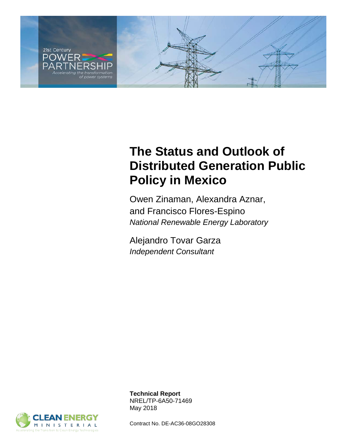

# **The Status and Outlook of Distributed Generation Public Policy in Mexico**

Owen Zinaman, Alexandra Aznar, and Francisco Flores-Espino *National Renewable Energy Laboratory*

Alejandro Tovar Garza *Independent Consultant*



**Technical Report** NREL/TP-6A50-71469 May 2018

Contract No. DE-AC36-08GO28308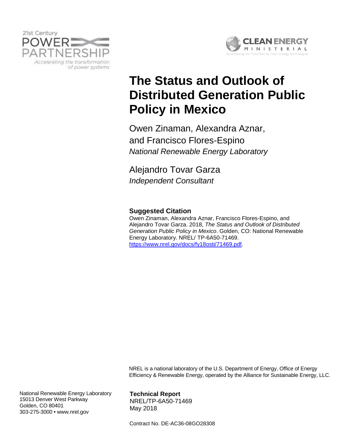



# **The Status and Outlook of Distributed Generation Public Policy in Mexico**

Owen Zinaman, Alexandra Aznar, and Francisco Flores-Espino *National Renewable Energy Laboratory*

Alejandro Tovar Garza *Independent Consultant*

### **Suggested Citation**

Owen Zinaman, Alexandra Aznar, Francisco Flores-Espino, and Alejandro Tovar Garza. 2018, *The Status and Outlook of Distributed Generation Public Policy in Mexico*. Golden, CO: National Renewable Energy Laboratory. NREL/ TP-6A50-71469. [https://www.nrel.gov/docs/fy18osti/71469.pdf.](https://www.nrel.gov/docs/fy18osti/71469.pdf)

NREL is a national laboratory of the U.S. Department of Energy, Office of Energy Efficiency & Renewable Energy, operated by the Alliance for Sustainable Energy, LLC.

National Renewable Energy Laboratory 15013 Denver West Parkway Golden, CO 80401 303-275-3000 • www.nrel.gov

**Technical Report** NREL/TP-6A50-71469

May 2018

Contract No. DE-AC36-08GO28308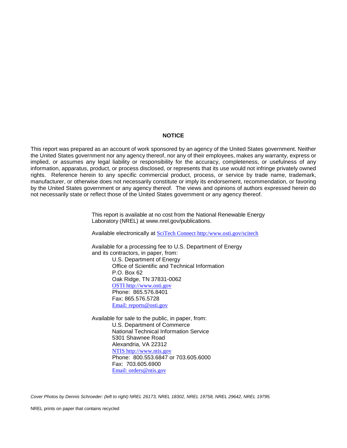#### **NOTICE**

This report was prepared as an account of work sponsored by an agency of the United States government. Neither the United States government nor any agency thereof, nor any of their employees, makes any warranty, express or implied, or assumes any legal liability or responsibility for the accuracy, completeness, or usefulness of any information, apparatus, product, or process disclosed, or represents that its use would not infringe privately owned rights. Reference herein to any specific commercial product, process, or service by trade name, trademark, manufacturer, or otherwise does not necessarily constitute or imply its endorsement, recommendation, or favoring by the United States government or any agency thereof. The views and opinions of authors expressed herein do not necessarily state or reflect those of the United States government or any agency thereof.

> This report is available at no cost from the National Renewable Energy Laboratory (NREL) at www.nrel.gov/publications.

Available electronically at [SciTech Connect http:/www.osti.gov/scitech](http://www.osti.gov/scitech)

Available for a processing fee to U.S. Department of Energy and its contractors, in paper, from: U.S. Department of Energy Office of Scientific and Technical Information P.O. Box 62 Oak Ridge, TN 37831-0062 [OSTI http://www.osti.gov](http://www.osti.gov/) Phone: 865.576.8401 Fax: 865.576.5728 [Email: reports@osti.gov](mailto:reports@osti.gov)

Available for sale to the public, in paper, from: U.S. Department of Commerce National Technical Information Service 5301 Shawnee Road Alexandria, VA 22312 [NTIS http://www.ntis.gov](http://www.ntis.gov/) Phone: 800.553.6847 or 703.605.6000 Fax: 703.605.6900 [Email: orders@ntis.gov](mailto:orders@ntis.gov)

*Cover Photos by Dennis Schroeder: (left to right) NREL 26173, NREL 18302, NREL 19758, NREL 29642, NREL 19795.*

NREL prints on paper that contains recycled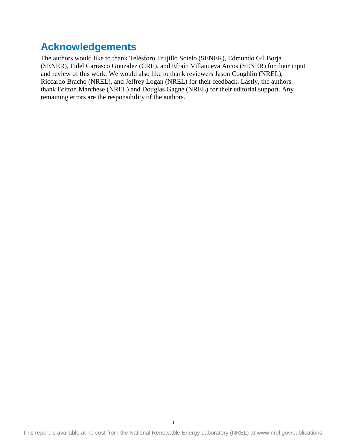# **Acknowledgements**

The authors would like to thank Telésforo Trujillo Sotelo (SENER), Edmundo Gil Borja (SENER), Fidel Carrasco Gonzalez (CRE), and Efraín Villanueva Arcos (SENER) for their input and review of this work. We would also like to thank reviewers Jason Coughlin (NREL), Riccardo Bracho (NREL), and Jeffrey Logan (NREL) for their feedback. Lastly, the authors thank Britton Marchese (NREL) and Douglas Gagne (NREL) for their editorial support. Any remaining errors are the responsibility of the authors.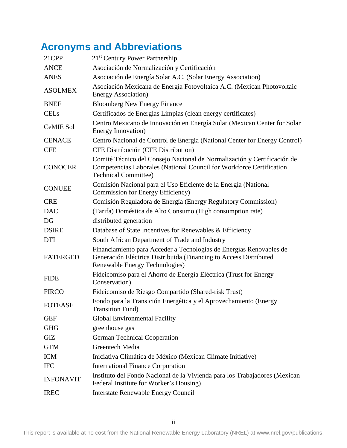# **Acronyms and Abbreviations**

| 21CPP            | 21 <sup>st</sup> Century Power Partnership                                                                                                                                     |  |
|------------------|--------------------------------------------------------------------------------------------------------------------------------------------------------------------------------|--|
| <b>ANCE</b>      | Asociación de Normalización y Certificación                                                                                                                                    |  |
| <b>ANES</b>      | Asociación de Energía Solar A.C. (Solar Energy Association)                                                                                                                    |  |
| <b>ASOLMEX</b>   | Asociación Mexicana de Energía Fotovoltaica A.C. (Mexican Photovoltaic<br><b>Energy Association</b> )                                                                          |  |
| <b>BNEF</b>      | <b>Bloomberg New Energy Finance</b>                                                                                                                                            |  |
| <b>CELs</b>      | Certificados de Energías Limpias (clean energy certificates)                                                                                                                   |  |
| <b>CeMIE Sol</b> | Centro Mexicano de Innovación en Energía Solar (Mexican Center for Solar<br>Energy Innovation)                                                                                 |  |
| <b>CENACE</b>    | Centro Nacional de Control de Energía (National Center for Energy Control)                                                                                                     |  |
| <b>CFE</b>       | CFE Distribución (CFE Distribution)                                                                                                                                            |  |
| <b>CONOCER</b>   | Comité Técnico del Consejo Nacional de Normalización y Certificación de<br>Competencias Laborales (National Council for Workforce Certification<br><b>Technical Committee)</b> |  |
| <b>CONUEE</b>    | Comisión Nacional para el Uso Eficiente de la Energía (National<br>Commission for Energy Efficiency)                                                                           |  |
| <b>CRE</b>       | Comisión Reguladora de Energía (Energy Regulatory Commission)                                                                                                                  |  |
| <b>DAC</b>       | (Tarifa) Doméstica de Alto Consumo (High consumption rate)                                                                                                                     |  |
| DG               | distributed generation                                                                                                                                                         |  |
| <b>DSIRE</b>     | Database of State Incentives for Renewables & Efficiency                                                                                                                       |  |
| <b>DTI</b>       | South African Department of Trade and Industry                                                                                                                                 |  |
| <b>FATERGED</b>  | Financiamiento para Acceder a Tecnologías de Energías Renovables de<br>Generación Eléctrica Distribuida (Financing to Access Distributed<br>Renewable Energy Technologies)     |  |
| <b>FIDE</b>      | Fideicomiso para el Ahorro de Energía Eléctrica (Trust for Energy<br>Conservation)                                                                                             |  |
| <b>FIRCO</b>     | Fideicomiso de Riesgo Compartido (Shared-risk Trust)                                                                                                                           |  |
| <b>FOTEASE</b>   | Fondo para la Transición Energética y el Aprovechamiento (Energy<br><b>Transition Fund)</b>                                                                                    |  |
| <b>GEF</b>       | <b>Global Environmental Facility</b>                                                                                                                                           |  |
| <b>GHG</b>       | greenhouse gas                                                                                                                                                                 |  |
| GIZ              | <b>German Technical Cooperation</b>                                                                                                                                            |  |
| <b>GTM</b>       | Greentech Media                                                                                                                                                                |  |
| <b>ICM</b>       | Iniciativa Climática de México (Mexican Climate Initiative)                                                                                                                    |  |
| <b>IFC</b>       | <b>International Finance Corporation</b>                                                                                                                                       |  |
| <b>INFONAVIT</b> | Instituto del Fondo Nacional de la Vivienda para los Trabajadores (Mexican<br>Federal Institute for Worker's Housing)                                                          |  |
| <b>IREC</b>      | <b>Interstate Renewable Energy Council</b>                                                                                                                                     |  |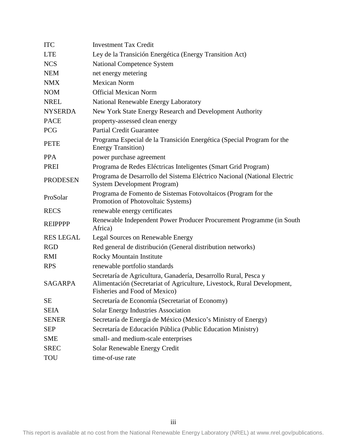| <b>ITC</b>       | <b>Investment Tax Credit</b>                                                                                                                                                |  |  |
|------------------|-----------------------------------------------------------------------------------------------------------------------------------------------------------------------------|--|--|
| <b>LTE</b>       | Ley de la Transición Energética (Energy Transition Act)                                                                                                                     |  |  |
| <b>NCS</b>       | <b>National Competence System</b>                                                                                                                                           |  |  |
| <b>NEM</b>       | net energy metering                                                                                                                                                         |  |  |
| <b>NMX</b>       | <b>Mexican Norm</b>                                                                                                                                                         |  |  |
| <b>NOM</b>       | <b>Official Mexican Norm</b>                                                                                                                                                |  |  |
| <b>NREL</b>      | National Renewable Energy Laboratory                                                                                                                                        |  |  |
| <b>NYSERDA</b>   | New York State Energy Research and Development Authority                                                                                                                    |  |  |
| <b>PACE</b>      | property-assessed clean energy                                                                                                                                              |  |  |
| <b>PCG</b>       | <b>Partial Credit Guarantee</b>                                                                                                                                             |  |  |
| <b>PETE</b>      | Programa Especial de la Transición Energética (Special Program for the<br><b>Energy Transition</b> )                                                                        |  |  |
| <b>PPA</b>       | power purchase agreement                                                                                                                                                    |  |  |
| <b>PREI</b>      | Programa de Redes Eléctricas Inteligentes (Smart Grid Program)                                                                                                              |  |  |
| <b>PRODESEN</b>  | Programa de Desarrollo del Sistema Eléctrico Nacional (National Electric<br><b>System Development Program)</b>                                                              |  |  |
| ProSolar         | Programa de Fomento de Sistemas Fotovoltaicos (Program for the<br>Promotion of Photovoltaic Systems)                                                                        |  |  |
| <b>RECS</b>      | renewable energy certificates                                                                                                                                               |  |  |
| <b>REIPPPP</b>   | Renewable Independent Power Producer Procurement Programme (in South<br>Africa)                                                                                             |  |  |
| <b>RES LEGAL</b> | <b>Legal Sources on Renewable Energy</b>                                                                                                                                    |  |  |
| <b>RGD</b>       | Red general de distribución (General distribution networks)                                                                                                                 |  |  |
| RMI              | Rocky Mountain Institute                                                                                                                                                    |  |  |
| <b>RPS</b>       | renewable portfolio standards                                                                                                                                               |  |  |
| <b>SAGARPA</b>   | Secretaría de Agricultura, Ganadería, Desarrollo Rural, Pesca y<br>Alimentación (Secretariat of Agriculture, Livestock, Rural Development,<br>Fisheries and Food of Mexico) |  |  |
| SE               | Secretaría de Economía (Secretariat of Economy)                                                                                                                             |  |  |
| <b>SEIA</b>      | <b>Solar Energy Industries Association</b>                                                                                                                                  |  |  |
| <b>SENER</b>     | Secretaría de Energía de México (Mexico's Ministry of Energy)                                                                                                               |  |  |
| <b>SEP</b>       | Secretaría de Educación Pública (Public Education Ministry)                                                                                                                 |  |  |
| <b>SME</b>       | small- and medium-scale enterprises                                                                                                                                         |  |  |
| <b>SREC</b>      | Solar Renewable Energy Credit                                                                                                                                               |  |  |
| TOU              | time-of-use rate                                                                                                                                                            |  |  |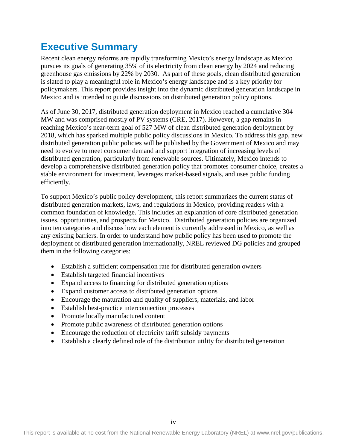# **Executive Summary**

Recent clean energy reforms are rapidly transforming Mexico's energy landscape as Mexico pursues its goals of generating 35% of its electricity from clean energy by 2024 and reducing greenhouse gas emissions by 22% by 2030. As part of these goals, clean distributed generation is slated to play a meaningful role in Mexico's energy landscape and is a key priority for policymakers. This report provides insight into the dynamic distributed generation landscape in Mexico and is intended to guide discussions on distributed generation policy options.

As of June 30, 2017, distributed generation deployment in Mexico reached a cumulative 304 MW and was comprised mostly of PV systems (CRE, 2017). However, a gap remains in reaching Mexico's near-term goal of 527 MW of clean distributed generation deployment by 2018, which has sparked multiple public policy discussions in Mexico. To address this gap, new distributed generation public policies will be published by the Government of Mexico and may need to evolve to meet consumer demand and support integration of increasing levels of distributed generation, particularly from renewable sources. Ultimately, Mexico intends to develop a comprehensive distributed generation policy that promotes consumer choice, creates a stable environment for investment, leverages market-based signals, and uses public funding efficiently.

To support Mexico's public policy development, this report summarizes the current status of distributed generation markets, laws, and regulations in Mexico, providing readers with a common foundation of knowledge. This includes an explanation of core distributed generation issues, opportunities, and prospects for Mexico. Distributed generation policies are organized into ten categories and discuss how each element is currently addressed in Mexico, as well as any existing barriers. In order to understand how public policy has been used to promote the deployment of distributed generation internationally, NREL reviewed DG policies and grouped them in the following categories:

- Establish a sufficient compensation rate for distributed generation owners
- Establish targeted financial incentives
- Expand access to financing for distributed generation options
- Expand customer access to distributed generation options
- Encourage the maturation and quality of suppliers, materials, and labor
- Establish best-practice interconnection processes
- Promote locally manufactured content
- Promote public awareness of distributed generation options
- Encourage the reduction of electricity tariff subsidy payments
- Establish a clearly defined role of the distribution utility for distributed generation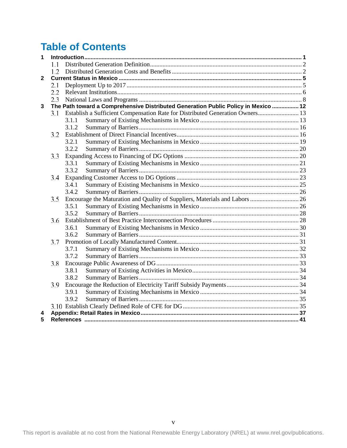# **Table of Contents**

| $\overline{1}$ |     |                                                                                    |  |  |
|----------------|-----|------------------------------------------------------------------------------------|--|--|
|                | 11  |                                                                                    |  |  |
|                |     |                                                                                    |  |  |
| $\overline{2}$ |     |                                                                                    |  |  |
|                | 2.1 |                                                                                    |  |  |
|                | 2.2 |                                                                                    |  |  |
|                | 2.3 |                                                                                    |  |  |
| $\overline{3}$ |     | The Path toward a Comprehensive Distributed Generation Public Policy in Mexico  12 |  |  |
|                | 3.1 | Establish a Sufficient Compensation Rate for Distributed Generation Owners 13      |  |  |
|                |     | 3.1.1                                                                              |  |  |
|                |     | 3.1.2                                                                              |  |  |
|                | 3.2 |                                                                                    |  |  |
|                |     | 3.2.1                                                                              |  |  |
|                |     | 3.2.2                                                                              |  |  |
|                | 3.3 |                                                                                    |  |  |
|                |     | 3.3.1                                                                              |  |  |
|                |     | 3.3.2                                                                              |  |  |
|                | 3.4 |                                                                                    |  |  |
|                |     | 3.4.1                                                                              |  |  |
|                |     | 3.4.2                                                                              |  |  |
|                | 3.5 |                                                                                    |  |  |
|                |     | 3.5.1                                                                              |  |  |
|                |     | 3.5.2                                                                              |  |  |
|                | 3.6 |                                                                                    |  |  |
|                |     | 3.6.1                                                                              |  |  |
|                |     | 3.6.2                                                                              |  |  |
|                | 3.7 |                                                                                    |  |  |
|                |     | 3.7.1                                                                              |  |  |
|                |     | 3.7.2                                                                              |  |  |
|                | 3.8 |                                                                                    |  |  |
|                |     | 3.8.1                                                                              |  |  |
|                |     | 3.8.2                                                                              |  |  |
|                | 3.9 |                                                                                    |  |  |
|                |     | 3.9.1                                                                              |  |  |
|                |     | 3.9.2                                                                              |  |  |
|                |     |                                                                                    |  |  |
| 4              |     |                                                                                    |  |  |
| 5              |     |                                                                                    |  |  |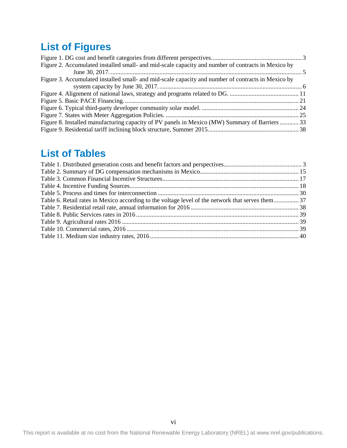# **List of Figures**

| Figure 2. Accumulated installed small- and mid-scale capacity and number of contracts in Mexico by |  |
|----------------------------------------------------------------------------------------------------|--|
|                                                                                                    |  |
| Figure 3. Accumulated installed small- and mid-scale capacity and number of contracts in Mexico by |  |
|                                                                                                    |  |
|                                                                                                    |  |
|                                                                                                    |  |
|                                                                                                    |  |
|                                                                                                    |  |
| Figure 8. Installed manufacturing capacity of PV panels in Mexico (MW) Summary of Barriers  33     |  |
|                                                                                                    |  |
|                                                                                                    |  |

## **List of Tables**

| Table 6. Retail rates in Mexico according to the voltage level of the network that serves them37 |  |
|--------------------------------------------------------------------------------------------------|--|
|                                                                                                  |  |
|                                                                                                  |  |
|                                                                                                  |  |
|                                                                                                  |  |
|                                                                                                  |  |
|                                                                                                  |  |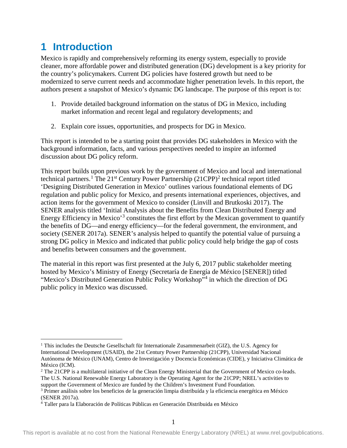# <span id="page-9-0"></span>**1 Introduction**

Mexico is rapidly and comprehensively reforming its energy system, especially to provide cleaner, more affordable power and distributed generation (DG) development is a key priority for the country's policymakers. Current DG policies have fostered growth but need to be modernized to serve current needs and accommodate higher penetration levels. In this report, the authors present a snapshot of Mexico's dynamic DG landscape. The purpose of this report is to:

- 1. Provide detailed background information on the status of DG in Mexico, including market information and recent legal and regulatory developments; and
- 2. Explain core issues, opportunities, and prospects for DG in Mexico.

This report is intended to be a starting point that provides DG stakeholders in Mexico with the background information, facts, and various perspectives needed to inspire an informed discussion about DG policy reform.

This report builds upon previous work by the government of Mexico and local and international technical partners.<sup>[1](#page-9-1)</sup> The  $21<sup>st</sup>$  $21<sup>st</sup>$  Century Power Partnership  $(21CPP)<sup>2</sup>$  technical report titled 'Designing Distributed Generation in Mexico' outlines various foundational elements of DG regulation and public policy for Mexico, and presents international experiences, objectives, and action items for the government of Mexico to consider (Linvill and Brutkoski 2017). The SENER analysis titled 'Initial Analysis about the Benefits from Clean Distributed Energy and Energy Efficiency in Mexico<sup>[3](#page-9-3)</sup> constitutes the first effort by the Mexican government to quantify the benefits of DG—and energy efficiency—for the federal government, the environment, and society (SENER 2017a). SENER's analysis helped to quantify the potential value of pursuing a strong DG policy in Mexico and indicated that public policy could help bridge the gap of costs and benefits between consumers and the government.

The material in this report was first presented at the July 6, 2017 public stakeholder meeting hosted by Mexico's Ministry of Energy (Secretaría de Energía de México [SENER]) titled "Mexico's Distributed Generation Public Policy Workshop"[4](#page-9-4) in which the direction of DG public policy in Mexico was discussed.

<span id="page-9-1"></span><sup>&</sup>lt;sup>1</sup> This includes the Deutsche Gesellschaft für Internationale Zusammenarbeit (GIZ), the U.S. Agency for International Development (USAID), the 21st Century Power Partnership (21CPP), Universidad Nacional Autónoma de México (UNAM), Centro de Investigación y Docencia Económicas (CIDE), y Iniciativa Climática de México (ICM).

<span id="page-9-2"></span><sup>&</sup>lt;sup>2</sup> The 21CPP is a multilateral initiative of the Clean Energy Ministerial that the Government of Mexico co-leads. The U.S. National Renewable Energy Laboratory is the Operating Agent for the 21CPP; NREL's activities to support the Government of Mexico are funded by the Children's Investment Fund Foundation.

<span id="page-9-3"></span><sup>3</sup> Primer análisis sobre los beneficios de la generación limpia distribuída y la eficiencia energética en México (SENER 2017a).

<span id="page-9-4"></span><sup>4</sup> Taller para la Elaboración de Políticas Públicas en Generación Distribuida en México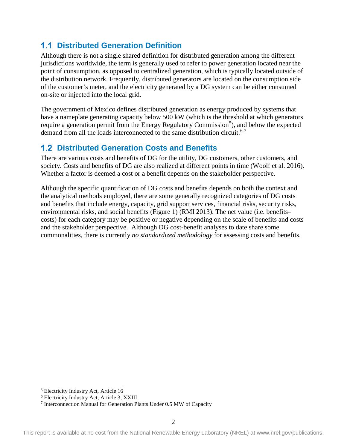## <span id="page-10-0"></span>**1.1 Distributed Generation Definition**

Although there is not a single shared definition for distributed generation among the different jurisdictions worldwide, the term is generally used to refer to power generation located near the point of consumption, as opposed to centralized generation, which is typically located outside of the distribution network. Frequently, distributed generators are located on the consumption side of the customer's meter, and the electricity generated by a DG system can be either consumed on-site or injected into the local grid.

The government of Mexico defines distributed generation as energy produced by systems that have a nameplate generating capacity below 500 kW (which is the threshold at which generators require a generation permit from the Energy Regulatory Commission<sup>[5](#page-10-2)</sup>), and below the expected demand from all the loads interconnected to the same distribution circuit.<sup>[6](#page-10-3),[7](#page-10-4)</sup>

## <span id="page-10-1"></span>**Distributed Generation Costs and Benefits**

There are various costs and benefits of DG for the utility, DG customers, other customers, and society. Costs and benefits of DG are also realized at different points in time (Woolf et al. 2016). Whether a factor is deemed a cost or a benefit depends on the stakeholder perspective.

Although the specific quantification of DG costs and benefits depends on both the context and the analytical methods employed, there are some generally recognized categories of DG costs and benefits that include energy, capacity, grid support services, financial risks, security risks, environmental risks, and social benefits [\(Figure 1\)](#page-11-2) (RMI 2013). The net value (i.e. benefits– costs) for each category may be positive or negative depending on the scale of benefits and costs and the stakeholder perspective. Although DG cost-benefit analyses to date share some commonalities, there is currently *no standardized methodology* for assessing costs and benefits.

<span id="page-10-2"></span> <sup>5</sup> Electricity Industry Act, Article 16

<sup>6</sup> Electricity Industry Act, Article 3, XXIII

<span id="page-10-4"></span><span id="page-10-3"></span><sup>7</sup> Interconnection Manual for Generation Plants Under 0.5 MW of Capacity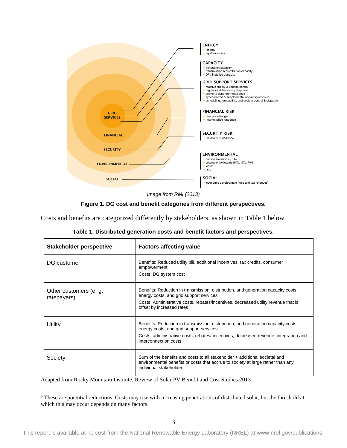

*Image from RMI (2013)*

**Figure 1. DG cost and benefit categories from different perspectives.**

<span id="page-11-2"></span><span id="page-11-0"></span>Costs and benefits are categorized differently by stakeholders, as shown in Table 1 below.

<span id="page-11-1"></span>

| Stakeholder perspective               | <b>Factors affecting value</b>                                                                                                                                                                                                                               |  |
|---------------------------------------|--------------------------------------------------------------------------------------------------------------------------------------------------------------------------------------------------------------------------------------------------------------|--|
| DG customer                           | Benefits: Reduced utility bill, additional incentives, tax credits, consumer<br>empowerment<br>Costs: DG system cost                                                                                                                                         |  |
| Other customers (e. g.<br>ratepayers) | Benefits: Reduction in transmission, distribution, and generation capacity costs,<br>energy costs, and grid support services <sup>8</sup><br>Costs: Administrative costs, rebates/incentives, decreased utility revenue that is<br>offset by increased rates |  |
| Utility                               | Benefits: Reduction in transmission, distribution, and generation capacity costs,<br>energy costs, and grid support services<br>Costs: administrative costs, rebates/incentives, decreased revenue, integration and<br>interconnection costs                 |  |
| Society                               | Sum of the benefits and costs to all stakeholder + additional societal and<br>environmental benefits or costs that accrue to society at large rather than any<br>individual stakeholder.                                                                     |  |

Adapted from Rocky Mountain Institute, Review of Solar PV Benefit and Cost Studies 2013

<span id="page-11-3"></span><sup>&</sup>lt;sup>8</sup> These are potential reductions. Costs may rise with increasing penetrations of distributed solar, but the threshold at which this may occur depends on many factors.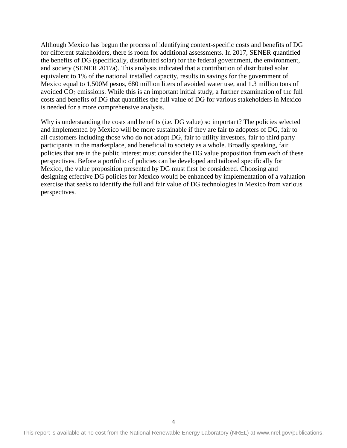Although Mexico has begun the process of identifying context-specific costs and benefits of DG for different stakeholders, there is room for additional assessments. In 2017, SENER quantified the benefits of DG (specifically, distributed solar) for the federal government, the environment, and society (SENER 2017a). This analysis indicated that a contribution of distributed solar equivalent to 1% of the national installed capacity, results in savings for the government of Mexico equal to 1,500M pesos, 680 million liters of avoided water use, and 1.3 million tons of avoided CO2 emissions. While this is an important initial study, a further examination of the full costs and benefits of DG that quantifies the full value of DG for various stakeholders in Mexico is needed for a more comprehensive analysis.

Why is understanding the costs and benefits (i.e. DG value) so important? The policies selected and implemented by Mexico will be more sustainable if they are fair to adopters of DG, fair to all customers including those who do not adopt DG, fair to utility investors, fair to third party participants in the marketplace, and beneficial to society as a whole. Broadly speaking, fair policies that are in the public interest must consider the DG value proposition from each of these perspectives. Before a portfolio of policies can be developed and tailored specifically for Mexico, the value proposition presented by DG must first be considered. Choosing and designing effective DG policies for Mexico would be enhanced by implementation of a valuation exercise that seeks to identify the full and fair value of DG technologies in Mexico from various perspectives.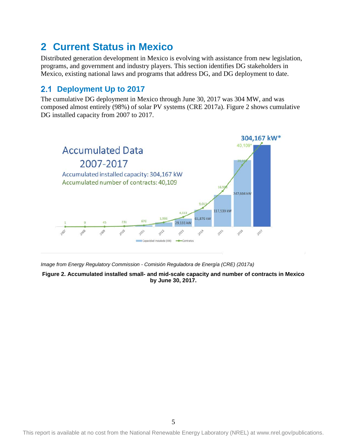# <span id="page-13-0"></span>**2 Current Status in Mexico**

Distributed generation development in Mexico is evolving with assistance from new legislation, programs, and government and industry players. This section identifies DG stakeholders in Mexico, existing national laws and programs that address DG, and DG deployment to date.

## <span id="page-13-1"></span>**Deployment Up to 2017**

The cumulative DG deployment in Mexico through June 30, 2017 was 304 MW, and was composed almost entirely (98%) of solar PV systems (CRE 2017a). [Figure 2](#page-13-3) shows cumulative DG installed capacity from 2007 to 2017.



<span id="page-13-3"></span>*Image from Energy Regulatory Commission - Comisión Reguladora de Energía (CRE) (2017a)*

<span id="page-13-2"></span>**Figure 2. Accumulated installed small- and mid-scale capacity and number of contracts in Mexico by June 30, 2017.**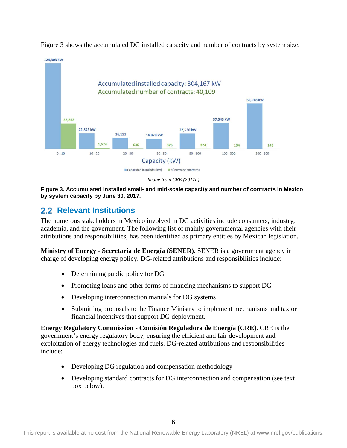

[Figure 3](#page-14-2) shows the accumulated DG installed capacity and number of contracts by system size.

*Image from CRE (2017a)*

<span id="page-14-2"></span><span id="page-14-1"></span>**Figure 3. Accumulated installed small- and mid-scale capacity and number of contracts in Mexico by system capacity by June 30, 2017.** 

## <span id="page-14-0"></span>**2.2 Relevant Institutions**

The numerous stakeholders in Mexico involved in DG activities include consumers, industry, academia, and the government. The following list of mainly governmental agencies with their attributions and responsibilities, has been identified as primary entities by Mexican legislation.

**Ministry of Energy - Secretaría de Energía (SENER).** SENER is a government agency in charge of developing energy policy. DG-related attributions and responsibilities include:

- Determining public policy for DG
- Promoting loans and other forms of financing mechanisms to support DG
- Developing interconnection manuals for DG systems
- Submitting proposals to the Finance Ministry to implement mechanisms and tax or financial incentives that support DG deployment.

**Energy Regulatory Commission - Comisión Reguladora de Energía (CRE).** CRE is the government's energy regulatory body, ensuring the efficient and fair development and exploitation of energy technologies and fuels. DG-related attributions and responsibilities include:

- Developing DG regulation and compensation methodology
- Developing standard contracts for DG interconnection and compensation (see text box below).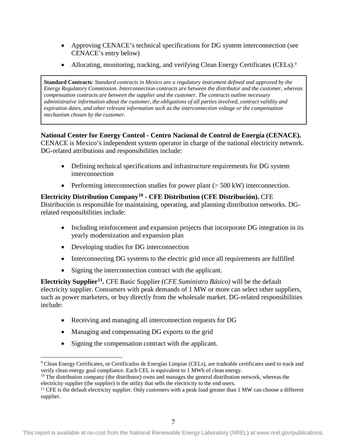- Approving CENACE's technical specifications for DG system interconnection (see CENACE's entry below)
- Allocating, monitoring, tracking, and verifying Clean Energy Certificates (CELs).<sup>[9](#page-15-0)</sup>

**Standard Contracts**: *Standard contracts in Mexico are a regulatory instrument defined and approved by the Energy Regulatory Commission. Interconnection contracts are between the distributor and the customer, whereas compensation contracts are between the supplier and the customer. The contracts outline necessary administrative information about the customer, the obligations of all parties involved, contract validity and expiration dates, and other relevant information such as the interconnection voltage or the compensation mechanism chosen by the customer.*

## **National Center for Energy Control - Centro Nacional de Control de Energía (CENACE).**

CENACE is Mexico's independent system operator in charge of the national electricity network. DG-related attributions and responsibilities include:

- Defining technical specifications and infrastructure requirements for DG system interconnection
- Performing interconnection studies for power plant  $($  > 500 kW) interconnection.

## **Electricity Distribution Company[10](#page-15-1) - CFE Distribution (CFE Distribución).** CFE

Distribución is responsible for maintaining, operating, and planning distribution networks. DGrelated responsibilities include:

- Including reinforcement and expansion projects that incorporate DG integration in its yearly modernization and expansion plan
- Developing studies for DG interconnection
- Interconnecting DG systems to the electric grid once all requirements are fulfilled
- Signing the interconnection contract with the applicant.

**Electricity Supplier[11.](#page-15-2)** CFE Basic Supplier (*CFE Suministro Básico)* will be the default electricity supplier. Consumers with peak demands of 1 MW or more can select other suppliers, such as power marketers, or buy directly from the wholesale market. DG-related responsibilities include:

- Receiving and managing all interconnection requests for DG
- Managing and compensating DG exports to the grid
- Signing the compensation contract with the applicant.

<span id="page-15-0"></span> <sup>9</sup> Clean Energy Certificates, or Certificados de Energías Limpias (CELs), are tradeable certificates used to track and verify clean energy goal compliance. Each CEL is equivalent to 1 MWh of clean energy.

<span id="page-15-1"></span> $10$  The distribution company (the distributor) owns and manages the general distribution network, whereas the electricity supplier (the supplier) is the utility that sells the electricity to the end users.

<span id="page-15-2"></span> $11$  CFE is the default electricity supplier. Only customers with a peak load greater than 1 MW can choose a different supplier.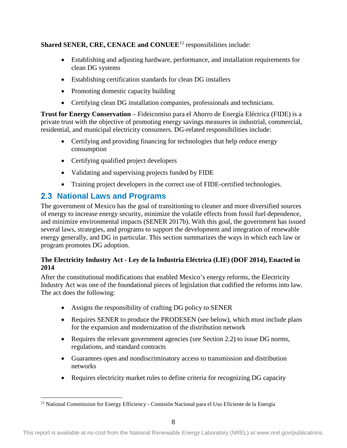## **Shared SENER, CRE, CENACE and CONUEE<sup>[12](#page-16-1)</sup> responsibilities include:**

- Establishing and adjusting hardware, performance, and installation requirements for clean DG systems
- Establishing certification standards for clean DG installers
- Promoting domestic capacity building
- Certifying clean DG installation companies, professionals and technicians.

**Trust for Energy Conservation** – Fideicomiso para el Ahorro de Energía Eléctrica (FIDE) is a private trust with the objective of promoting energy savings measures in industrial, commercial, residential, and municipal electricity consumers. DG-related responsibilities include:

- Certifying and providing financing for technologies that help reduce energy consumption
- Certifying qualified project developers
- Validating and supervising projects funded by FIDE
- Training project developers in the correct use of FIDE-certified technologies.

## <span id="page-16-0"></span>**2.3 National Laws and Programs**

The government of Mexico has the goal of transitioning to cleaner and more diversified sources of energy to increase energy security, minimize the volatile effects from fossil fuel dependence, and minimize environmental impacts (SENER 2017b). With this goal, the government has issued several laws, strategies, and programs to support the development and integration of renewable energy generally, and DG in particular. This section summarizes the ways in which each law or program promotes DG adoption.

## **The Electricity Industry Act - Ley de la Industria Eléctrica (LIE) (DOF 2014), Enacted in 2014**

After the constitutional modifications that enabled Mexico's energy reforms, the Electricity Industry Act was one of the foundational pieces of legislation that codified the reforms into law. The act does the following:

- Assigns the responsibility of crafting DG policy to SENER
- Requires SENER to produce the PRODESEN (see below), which must include plans for the expansion and modernization of the distribution network
- Requires the relevant government agencies (see Section [2.2\)](#page-14-0) to issue DG norms, regulations, and standard contracts
- Guarantees open and nondiscriminatory access to transmission and distribution networks
- Requires electricity market rules to define criteria for recognizing DG capacity

<span id="page-16-1"></span><sup>&</sup>lt;sup>12</sup> National Commission for Energy Efficiency - Comisión Nacional para el Uso Eficiente de la Energía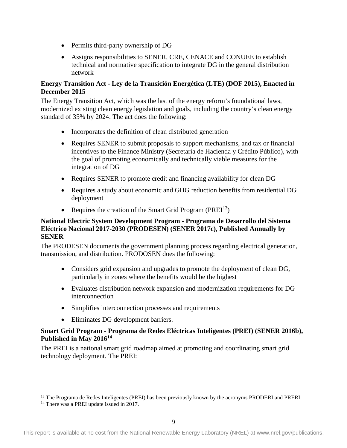- Permits third-party ownership of DG
- Assigns responsibilities to SENER, CRE, CENACE and CONUEE to establish technical and normative specification to integrate DG in the general distribution network

### **Energy Transition Act - Ley de la Transición Energética (LTE) (DOF 2015), Enacted in December 2015**

The Energy Transition Act, which was the last of the energy reform's foundational laws, modernized existing clean energy legislation and goals, including the country's clean energy standard of 35% by 2024. The act does the following:

- Incorporates the definition of clean distributed generation
- Requires SENER to submit proposals to support mechanisms, and tax or financial incentives to the Finance Ministry (Secretaría de Hacienda y Crédito Público), with the goal of promoting economically and technically viable measures for the integration of DG
- Requires SENER to promote credit and financing availability for clean DG
- Requires a study about economic and GHG reduction benefits from residential DG deployment
- Requires the creation of the Smart Grid Program ( $PREI<sup>13</sup>$  $PREI<sup>13</sup>$  $PREI<sup>13</sup>$ )

### **National Electric System Development Program - Programa de Desarrollo del Sistema Eléctrico Nacional 2017-2030 (PRODESEN) (SENER 2017c), Published Annually by SENER**

The PRODESEN documents the government planning process regarding electrical generation, transmission, and distribution. PRODOSEN does the following:

- Considers grid expansion and upgrades to promote the deployment of clean DG, particularly in zones where the benefits would be the highest
- Evaluates distribution network expansion and modernization requirements for DG interconnection
- Simplifies interconnection processes and requirements
- Eliminates DG development barriers.

### **Smart Grid Program - Programa de Redes Eléctricas Inteligentes (PREI) (SENER 2016b), Published in May 2016[14](#page-17-1)**

The PREI is a national smart grid roadmap aimed at promoting and coordinating smart grid technology deployment. The PREI:

<span id="page-17-0"></span><sup>&</sup>lt;sup>13</sup> The Programa de Redes Inteligentes (PREI) has been previously known by the acronyms PRODERI and PRERI.

<span id="page-17-1"></span><sup>&</sup>lt;sup>14</sup> There was a PREI update issued in 2017.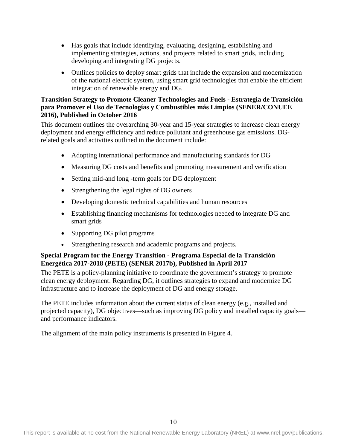- Has goals that include identifying, evaluating, designing, establishing and implementing strategies, actions, and projects related to smart grids, including developing and integrating DG projects.
- Outlines policies to deploy smart grids that include the expansion and modernization of the national electric system, using smart grid technologies that enable the efficient integration of renewable energy and DG.

#### **Transition Strategy to Promote Cleaner Technologies and Fuels - Estrategia de Transición para Promover el Uso de Tecnologías y Combustibles más Limpios (SENER/CONUEE 2016), Published in October 2016**

This document outlines the overarching 30-year and 15-year strategies to increase clean energy deployment and energy efficiency and reduce pollutant and greenhouse gas emissions. DGrelated goals and activities outlined in the document include:

- Adopting international performance and manufacturing standards for DG
- Measuring DG costs and benefits and promoting measurement and verification
- Setting mid-and long -term goals for DG deployment
- Strengthening the legal rights of DG owners
- Developing domestic technical capabilities and human resources
- Establishing financing mechanisms for technologies needed to integrate DG and smart grids
- Supporting DG pilot programs
- Strengthening research and academic programs and projects.

### **Special Program for the Energy Transition - Programa Especial de la Transición Energética 2017-2018 (PETE) (SENER 2017b), Published in April 2017**

The PETE is a policy-planning initiative to coordinate the government's strategy to promote clean energy deployment. Regarding DG, it outlines strategies to expand and modernize DG infrastructure and to increase the deployment of DG and energy storage.

The PETE includes information about the current status of clean energy (e.g., installed and projected capacity), DG objectives—such as improving DG policy and installed capacity goals and performance indicators.

The alignment of the main policy instruments is presented in [Figure 4.](#page-19-1)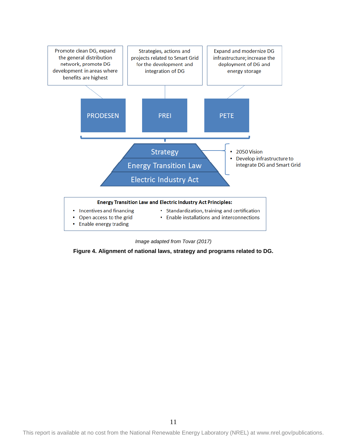

*Image adapted from Tovar (2017)*

<span id="page-19-1"></span><span id="page-19-0"></span>**Figure 4. Alignment of national laws, strategy and programs related to DG.**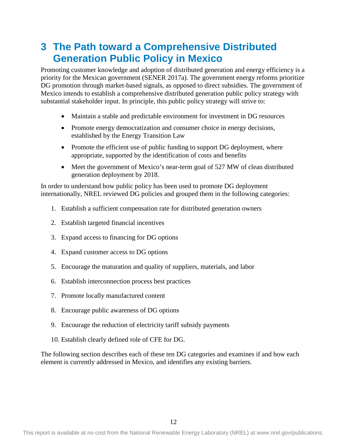# <span id="page-20-0"></span>**3 The Path toward a Comprehensive Distributed Generation Public Policy in Mexico**

Promoting customer knowledge and adoption of distributed generation and energy efficiency is a priority for the Mexican government (SENER 2017a). The government energy reforms prioritize DG promotion through market-based signals, as opposed to direct subsidies. The government of Mexico intends to establish a comprehensive distributed generation public policy strategy with substantial stakeholder input. In principle, this public policy strategy will strive to:

- Maintain a stable and predictable environment for investment in DG resources
- Promote energy democratization and consumer choice in energy decisions, established by the Energy Transition Law
- Promote the efficient use of public funding to support DG deployment, where appropriate, supported by the identification of costs and benefits
- Meet the government of Mexico's near-term goal of 527 MW of clean distributed generation deployment by 2018.

In order to understand how public policy has been used to promote DG deployment internationally, NREL reviewed DG policies and grouped them in the following categories:

- 1. Establish a sufficient compensation rate for distributed generation owners
- 2. Establish targeted financial incentives
- 3. Expand access to financing for DG options
- 4. Expand customer access to DG options
- 5. Encourage the maturation and quality of suppliers, materials, and labor
- 6. Establish interconnection process best practices
- 7. Promote locally manufactured content
- 8. Encourage public awareness of DG options
- 9. Encourage the reduction of electricity tariff subsidy payments
- 10. Establish clearly defined role of CFE for DG.

The following section describes each of these ten DG categories and examines if and how each element is currently addressed in Mexico, and identifies any existing barriers.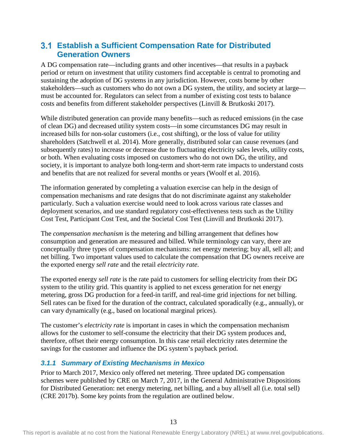## <span id="page-21-0"></span>**Establish a Sufficient Compensation Rate for Distributed Generation Owners**

A DG compensation rate—including grants and other incentives—that results in a payback period or return on investment that utility customers find acceptable is central to promoting and sustaining the adoption of DG systems in any jurisdiction. However, costs borne by other stakeholders—such as customers who do not own a DG system, the utility, and society at large must be accounted for. Regulators can select from a number of existing cost tests to balance costs and benefits from different stakeholder perspectives (Linvill & Brutkoski 2017).

While distributed generation can provide many benefits—such as reduced emissions (in the case of clean DG) and decreased utility system costs—in some circumstances DG may result in increased bills for non-solar customers (i.e., cost shifting), or the loss of value for utility shareholders (Satchwell et al. 2014). More generally, distributed solar can cause revenues (and subsequently rates) to increase or decrease due to fluctuating electricity sales levels, utility costs, or both. When evaluating costs imposed on customers who do not own DG, the utility, and society, it is important to analyze both long-term and short-term rate impacts to understand costs and benefits that are not realized for several months or years (Woolf et al. 2016).

The information generated by completing a valuation exercise can help in the design of compensation mechanisms and rate designs that do not discriminate against any stakeholder particularly. Such a valuation exercise would need to look across various rate classes and deployment scenarios, and use standard regulatory cost-effectiveness tests such as the Utility Cost Test, Participant Cost Test, and the Societal Cost Test (Linvill and Brutkoski 2017).

The *compensation mechanism* is the metering and billing arrangement that defines how consumption and generation are measured and billed. While terminology can vary, there are conceptually three types of compensation mechanisms: net energy metering; buy all, sell all; and net billing. Two important values used to calculate the compensation that DG owners receive are the exported energy *sell rate* and the retail *electricity rate*.

The exported energy *sell rate* is the rate paid to customers for selling electricity from their DG system to the utility grid. This quantity is applied to net excess generation for net energy metering, gross DG production for a feed-in tariff, and real-time grid injections for net billing. Sell rates can be fixed for the duration of the contract, calculated sporadically (e.g., annually), or can vary dynamically (e.g., based on locational marginal prices).

The customer's *electricity rate* is important in cases in which the compensation mechanism allows for the customer to self-consume the electricity that their DG system produces and, therefore, offset their energy consumption. In this case retail electricity rates determine the savings for the customer and influence the DG system's payback period.

## <span id="page-21-1"></span>*3.1.1 Summary of Existing Mechanisms in Mexico*

Prior to March 2017, Mexico only offered net metering. Three updated DG compensation schemes were published by CRE on March 7, 2017, in the General Administrative Dispositions for Distributed Generation: net energy metering, net billing, and a buy all/sell all (i.e. total sell) (CRE 2017b). Some key points from the regulation are outlined below.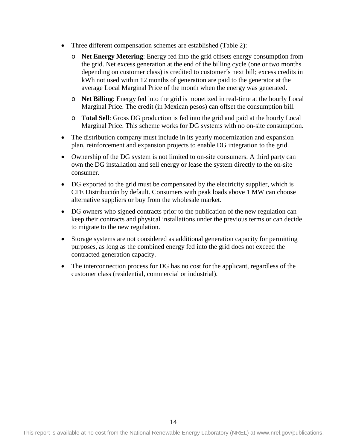- Three different compensation schemes are established [\(Table 2\)](#page-23-0):
	- o **Net Energy Metering**: Energy fed into the grid offsets energy consumption from the grid. Net excess generation at the end of the billing cycle (one or two months depending on customer class) is credited to customer´s next bill; excess credits in kWh not used within 12 months of generation are paid to the generator at the average Local Marginal Price of the month when the energy was generated.
	- o **Net Billing**: Energy fed into the grid is monetized in real-time at the hourly Local Marginal Price. The credit (in Mexican pesos) can offset the consumption bill.
	- o **Total Sell**: Gross DG production is fed into the grid and paid at the hourly Local Marginal Price. This scheme works for DG systems with no on-site consumption.
- The distribution company must include in its yearly modernization and expansion plan, reinforcement and expansion projects to enable DG integration to the grid.
- Ownership of the DG system is not limited to on-site consumers. A third party can own the DG installation and sell energy or lease the system directly to the on-site consumer.
- DG exported to the grid must be compensated by the electricity supplier, which is CFE Distribución by default. Consumers with peak loads above 1 MW can choose alternative suppliers or buy from the wholesale market.
- DG owners who signed contracts prior to the publication of the new regulation can keep their contracts and physical installations under the previous terms or can decide to migrate to the new regulation.
- Storage systems are not considered as additional generation capacity for permitting purposes, as long as the combined energy fed into the grid does not exceed the contracted generation capacity.
- The interconnection process for DG has no cost for the applicant, regardless of the customer class (residential, commercial or industrial).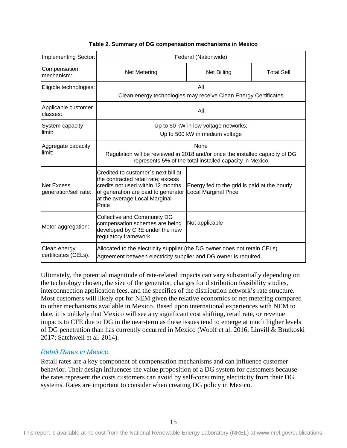<span id="page-23-0"></span>

| Implementing Sector:                       | Federal (Nationwide)                                                                                                                                                                            |                                                                             |                   |
|--------------------------------------------|-------------------------------------------------------------------------------------------------------------------------------------------------------------------------------------------------|-----------------------------------------------------------------------------|-------------------|
| Compensation<br>mechanism:                 | <b>Net Metering</b>                                                                                                                                                                             | <b>Net Billing</b>                                                          | <b>Total Sell</b> |
| Eligible technologies:                     | All<br>Clean energy technologies may receive Clean Energy Certificates                                                                                                                          |                                                                             |                   |
| Applicable customer<br>classes:            | All                                                                                                                                                                                             |                                                                             |                   |
| System capacity<br>limit:                  | Up to 50 kW in low voltage networks;<br>Up to 500 kW in medium voltage                                                                                                                          |                                                                             |                   |
| Aggregate capacity<br>limit:               | None<br>Regulation will be reviewed in 2018 and/or once the installed capacity of DG<br>represents 5% of the total installed capacity in Mexico                                                 |                                                                             |                   |
| <b>Net Excess</b><br>generation/sell rate: | Credited to customer's next bill at<br>the contracted retail rate; excess<br>credits not used within 12 months<br>of generation are paid to generator<br>at the average Local Marginal<br>Price | Energy fed to the grid is paid at the hourly<br><b>Local Marginal Price</b> |                   |
| Meter aggregation:                         | <b>Collective and Community DG</b><br>compensation schemes are being<br>developed by CRE under the new<br>regulatory framework                                                                  | Not applicable                                                              |                   |
| Clean energy<br>certificates (CELs):       | Allocated to the electricity supplier (the DG owner does not retain CELs)<br>Agreement between electricity supplier and DG owner is required                                                    |                                                                             |                   |

#### **Table 2. Summary of DG compensation mechanisms in Mexico**

Ultimately, the potential magnitude of rate‐related impacts can vary substantially depending on the technology chosen, the size of the generator, charges for distribution feasibility studies, interconnection application fees, and the specifics of the distribution network's rate structure. Most customers will likely opt for NEM given the relative economics of net metering compared to other mechanisms available in Mexico. Based upon international experiences with NEM to date, it is unlikely that Mexico will see any significant cost shifting, retail rate, or revenue impacts to CFE due to DG in the near-term as these issues tend to emerge at much higher levels of DG penetration than has currently occurred in Mexico (Woolf et al. 2016; Linvill & Brutkoski 2017; Satchwell et al. 2014).

### *Retail Rates in Mexico*

Retail rates are a key component of compensation mechanisms and can influence customer behavior. Their design influences the value proposition of a DG system for customers because the rates represent the costs customers can avoid by self-consuming electricity from their DG systems. Rates are important to consider when creating DG policy in Mexico.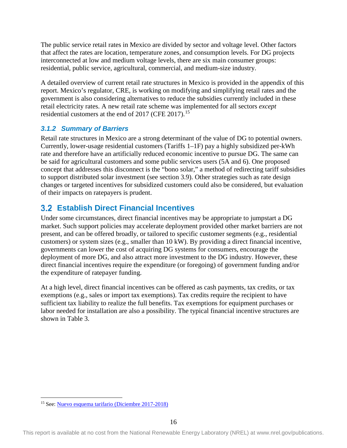The public service retail rates in Mexico are divided by sector and voltage level. Other factors that affect the rates are location, temperature zones, and consumption levels. For DG projects interconnected at low and medium voltage levels, there are six main consumer groups: residential, public service, agricultural, commercial, and medium-size industry.

A detailed overview of current retail rate structures in Mexico is provided in the appendix of this report. Mexico's regulator, CRE, is working on modifying and simplifying retail rates and the government is also considering alternatives to reduce the subsidies currently included in these retail electricity rates. A new retail rate scheme was implemented for all sectors *except* residential customers at the end of 2017 (CFE 2017).<sup>[15](#page-24-2)</sup>

## <span id="page-24-0"></span>*3.1.2 Summary of Barriers*

Retail rate structures in Mexico are a strong determinant of the value of DG to potential owners. Currently, lower-usage residential customers (Tariffs 1–1F) pay a highly subsidized per-kWh rate and therefore have an artificially reduced economic incentive to pursue DG. The same can be said for agricultural customers and some public services users (5A and 6). One proposed concept that addresses this disconnect is the "bono solar," a method of redirecting tariff subsidies to support distributed solar investment (see section 3.9). Other strategies such as rate design changes or targeted incentives for subsidized customers could also be considered, but evaluation of their impacts on ratepayers is prudent.

## <span id="page-24-1"></span>**Establish Direct Financial Incentives**

Under some circumstances, direct financial incentives may be appropriate to jumpstart a DG market. Such support policies may accelerate deployment provided other market barriers are not present, and can be offered broadly, or tailored to specific customer segments (e.g., residential customers) or system sizes (e.g., smaller than 10 kW). By providing a direct financial incentive, governments can lower the cost of acquiring DG systems for consumers, encourage the deployment of more DG, and also attract more investment to the DG industry. However, these direct financial incentives require the expenditure (or foregoing) of government funding and/or the expenditure of ratepayer funding.

At a high level, direct financial incentives can be offered as cash payments, tax credits, or tax exemptions (e.g., sales or import tax exemptions). Tax credits require the recipient to have sufficient tax liability to realize the full benefits. Tax exemptions for equipment purchases or labor needed for installation are also a possibility. The typical financial incentive structures are shown in [Table 3.](#page-25-0)

 <sup>15</sup> See[: Nuevo esquema tarifario \(Diciembre 2017-2018\)](https://app.cfe.mx/Aplicaciones/CCFE/Tarifas/TarifasCREIndustria/Industria.aspx)

<span id="page-24-2"></span>This report is available at no cost from the National Renewable Energy Laboratory (NREL) at www.nrel.gov/publications.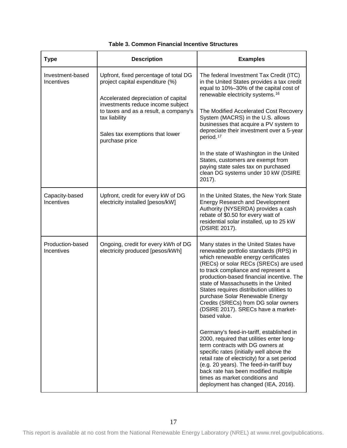<span id="page-25-2"></span><span id="page-25-1"></span><span id="page-25-0"></span>

| <b>Type</b>                    | <b>Description</b>                                                                                                                                                                                                                                                  | <b>Examples</b>                                                                                                                                                                                                                                                                                                                                                                                                                                                                                                                                                                                                                                                                                                                                                                                                                                                |
|--------------------------------|---------------------------------------------------------------------------------------------------------------------------------------------------------------------------------------------------------------------------------------------------------------------|----------------------------------------------------------------------------------------------------------------------------------------------------------------------------------------------------------------------------------------------------------------------------------------------------------------------------------------------------------------------------------------------------------------------------------------------------------------------------------------------------------------------------------------------------------------------------------------------------------------------------------------------------------------------------------------------------------------------------------------------------------------------------------------------------------------------------------------------------------------|
| Investment-based<br>Incentives | Upfront, fixed percentage of total DG<br>project capital expenditure (%)<br>Accelerated depreciation of capital<br>investments reduce income subject<br>to taxes and as a result, a company's<br>tax liability<br>Sales tax exemptions that lower<br>purchase price | The federal Investment Tax Credit (ITC)<br>in the United States provides a tax credit<br>equal to 10%-30% of the capital cost of<br>renewable electricity systems. <sup>16</sup><br>The Modified Accelerated Cost Recovery<br>System (MACRS) in the U.S. allows<br>businesses that acquire a PV system to<br>depreciate their investment over a 5-year<br>period. <sup>17</sup><br>In the state of Washington in the United<br>States, customers are exempt from<br>paying state sales tax on purchased<br>clean DG systems under 10 kW (DSIRE<br>2017).                                                                                                                                                                                                                                                                                                       |
| Capacity-based<br>Incentives   | Upfront, credit for every kW of DG<br>electricity installed [pesos/kW]                                                                                                                                                                                              | In the United States, the New York State<br><b>Energy Research and Development</b><br>Authority (NYSERDA) provides a cash<br>rebate of \$0.50 for every watt of<br>residential solar installed, up to 25 kW<br>(DSIRE 2017).                                                                                                                                                                                                                                                                                                                                                                                                                                                                                                                                                                                                                                   |
| Production-based<br>Incentives | Ongoing, credit for every kWh of DG<br>electricity produced [pesos/kWh]                                                                                                                                                                                             | Many states in the United States have<br>renewable portfolio standards (RPS) in<br>which renewable energy certificates<br>(RECs) or solar RECs (SRECs) are used<br>to track compliance and represent a<br>production-based financial incentive. The<br>state of Massachusetts in the United<br>States requires distribution utilities to<br>purchase Solar Renewable Energy<br>Credits (SRECs) from DG solar owners<br>(DSIRE 2017). SRECs have a market-<br>based value.<br>Germany's feed-in-tariff, established in<br>2000, required that utilities enter long-<br>term contracts with DG owners at<br>specific rates (initially well above the<br>retail rate of electricity) for a set period<br>(e.g. 20 years). The feed-in-tariff buy<br>back rate has been modified multiple<br>times as market conditions and<br>deployment has changed (IEA, 2016). |

#### **Table 3. Common Financial Incentive Structures**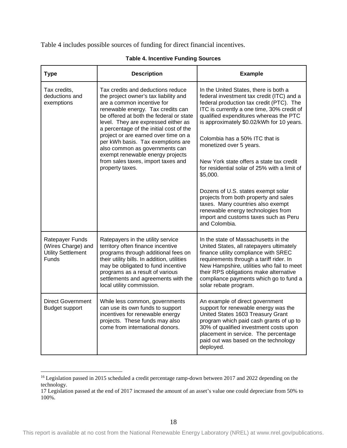[Table 4](#page-26-0) includes possible sources of funding for direct financial incentives.

<span id="page-26-0"></span>

| <b>Type</b>                                                                 | <b>Description</b>                                                                                                                                                                                                                                                                                                                                                                                                                                                                     | <b>Example</b>                                                                                                                                                                                                                                                                                                                                                                                                                                                                                                                                                                                                                                               |  |
|-----------------------------------------------------------------------------|----------------------------------------------------------------------------------------------------------------------------------------------------------------------------------------------------------------------------------------------------------------------------------------------------------------------------------------------------------------------------------------------------------------------------------------------------------------------------------------|--------------------------------------------------------------------------------------------------------------------------------------------------------------------------------------------------------------------------------------------------------------------------------------------------------------------------------------------------------------------------------------------------------------------------------------------------------------------------------------------------------------------------------------------------------------------------------------------------------------------------------------------------------------|--|
| Tax credits,<br>deductions and<br>exemptions                                | Tax credits and deductions reduce<br>the project owner's tax liability and<br>are a common incentive for<br>renewable energy. Tax credits can<br>be offered at both the federal or state<br>level. They are expressed either as<br>a percentage of the initial cost of the<br>project or are earned over time on a<br>per kWh basis. Tax exemptions are<br>also common as governments can<br>exempt renewable energy projects<br>from sales taxes, import taxes and<br>property taxes. | In the United States, there is both a<br>federal investment tax credit (ITC) and a<br>federal production tax credit (PTC). The<br>ITC is currently a one time, 30% credit of<br>qualified expenditures whereas the PTC<br>is approximately \$0.02/kWh for 10 years.<br>Colombia has a 50% ITC that is<br>monetized over 5 years.<br>New York state offers a state tax credit<br>for residential solar of 25% with a limit of<br>\$5,000.<br>Dozens of U.S. states exempt solar<br>projects from both property and sales<br>taxes. Many countries also exempt<br>renewable energy technologies from<br>import and customs taxes such as Peru<br>and Colombia. |  |
| Ratepayer Funds<br>(Wires Charge) and<br>Utility Settlement<br><b>Funds</b> | Ratepayers in the utility service<br>territory often finance incentive<br>programs through additional fees on<br>their utility bills. In addition, utilities<br>may be obligated to fund incentive<br>programs as a result of various<br>settlements and agreements with the<br>local utility commission.                                                                                                                                                                              | In the state of Massachusetts in the<br>United States, all ratepayers ultimately<br>finance utility compliance with SREC<br>requirements through a tariff rider. In<br>New Hampshire, utilities who fail to meet<br>their RPS obligations make alternative<br>compliance payments which go to fund a<br>solar rebate program.                                                                                                                                                                                                                                                                                                                                |  |
| <b>Direct Government</b><br><b>Budget support</b>                           | While less common, governments<br>can use its own funds to support<br>incentives for renewable energy<br>projects. These funds may also<br>come from international donors.                                                                                                                                                                                                                                                                                                             | An example of direct government<br>support for renewable energy was the<br>United States 1603 Treasury Grant<br>program which paid cash grants of up to<br>30% of qualified investment costs upon<br>placement in service. The percentage<br>paid out was based on the technology<br>deployed.                                                                                                                                                                                                                                                                                                                                                               |  |

#### **Table 4. Incentive Funding Sources**

<sup>&</sup>lt;sup>16</sup> Legislation passed in 2015 scheduled a credit percentage ramp-down between 2017 and 2022 depending on the technology.

<sup>17</sup> Legislation passed at the end of 2017 increased the amount of an asset's value one could depreciate from 50% to 100%.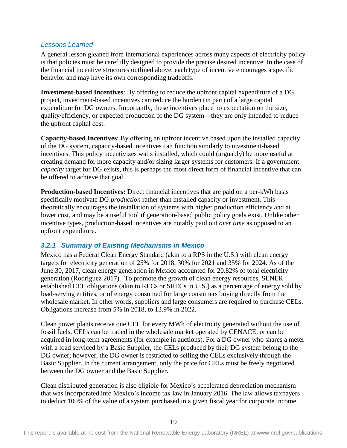### *Lessons Learned*

A general lesson gleaned from international experiences across many aspects of electricity policy is that policies must be carefully designed to provide the precise desired incentive. In the case of the financial incentive structures outlined above, each type of incentive encourages a specific behavior and may have its own corresponding tradeoffs.

**Investment-based Incentives**: By offering to reduce the upfront capital expenditure of a DG project, investment-based incentives can reduce the burden (in part) of a large capital expenditure for DG owners. Importantly, these incentives place no expectation on the size, quality/efficiency, or expected production of the DG system—they are only intended to reduce the upfront capital cost.

**Capacity-based Incentives**: By offering an upfront incentive based upon the installed capacity of the DG system, capacity-based incentives can function similarly to investment-based incentives. This policy incentivizes watts installed, which could (arguably) be more useful at creating demand for more capacity and/or sizing larger systems for customers. If a government *capacity* target for DG exists, this is perhaps the most direct form of financial incentive that can be offered to achieve that goal.

**Production-based Incentives:** Direct financial incentives that are paid on a per-kWh basis specifically motivate DG *production* rather than installed capacity or investment. This theoretically encourages the installation of systems with higher production efficiency and at lower cost, and may be a useful tool if generation-based public policy goals exist. Unlike other incentive types, production-based incentives are notably paid out *over time* as opposed to an upfront expenditure.

### <span id="page-27-0"></span>*3.2.1 Summary of Existing Mechanisms in Mexico*

Mexico has a Federal Clean Energy Standard (akin to a RPS in the U.S.) with clean energy targets for electricity generation of 25% for 2018, 30% for 2021 and 35% for 2024. As of the June 30, 2017, clean energy generation in Mexico accounted for 20.82% of total electricity generation (Rodríguez 2017). To promote the growth of clean energy resources, SENER established CEL obligations (akin to RECs or SRECs in U.S.) as a percentage of energy sold by load-serving entities, or of energy consumed for large consumers buying directly from the wholesale market. In other words, suppliers and large consumers are required to purchase CELs. Obligations increase from 5% in 2018, to 13.9% in 2022.

Clean power plants receive one CEL for every MWh of electricity generated without the use of fossil fuels. CELs can be traded in the wholesale market operated by CENACE, or can be acquired in long-term agreements (for example in auctions). For a DG owner who shares a meter with a load serviced by a Basic Supplier, the CELs produced by their DG system belong to the DG owner; however, the DG owner is restricted to selling the CELs exclusively through the Basic Supplier. In the current arrangement, only the price for CELs must be freely negotiated between the DG owner and the Basic Supplier.

Clean distributed generation is also eligible for Mexico's accelerated depreciation mechanism that was incorporated into Mexico's income tax law in January 2016. The law allows taxpayers to deduct 100% of the value of a system purchased in a given fiscal year for corporate income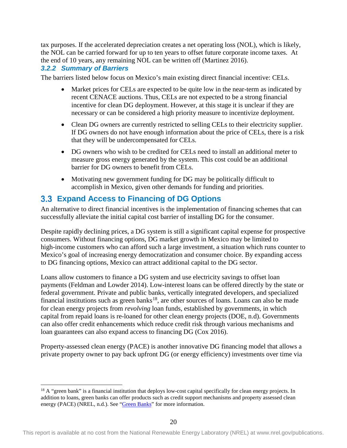tax purposes. If the accelerated depreciation creates a net operating loss (NOL), which is likely, the NOL can be carried forward for up to ten years to offset future corporate income taxes. At the end of 10 years, any remaining NOL can be written off (Martinez 2016).

## <span id="page-28-0"></span>*3.2.2 Summary of Barriers*

The barriers listed below focus on Mexico's main existing direct financial incentive: CELs.

- Market prices for CELs are expected to be quite low in the near-term as indicated by recent CENACE auctions. Thus, CELs are not expected to be a strong financial incentive for clean DG deployment. However, at this stage it is unclear if they are necessary or can be considered a high priority measure to incentivize deployment.
- Clean DG owners are currently restricted to selling CELs to their electricity supplier. If DG owners do not have enough information about the price of CELs, there is a risk that they will be undercompensated for CELs.
- DG owners who wish to be credited for CELs need to install an additional meter to measure gross energy generated by the system. This cost could be an additional barrier for DG owners to benefit from CELs.
- Motivating new government funding for DG may be politically difficult to accomplish in Mexico, given other demands for funding and priorities.

## <span id="page-28-1"></span>**Expand Access to Financing of DG Options**

An alternative to direct financial incentives is the implementation of financing schemes that can successfully alleviate the initial capital cost barrier of installing DG for the consumer.

Despite rapidly declining prices, a DG system is still a significant capital expense for prospective consumers. Without financing options, DG market growth in Mexico may be limited to high-income customers who can afford such a large investment, a situation which runs counter to Mexico's goal of increasing energy democratization and consumer choice. By expanding access to DG financing options, Mexico can attract additional capital to the DG sector.

Loans allow customers to finance a DG system and use electricity savings to offset loan payments (Feldman and Lowder 2014). Low-interest loans can be offered directly by the state or federal government. Private and public banks, vertically integrated developers, and specialized financial institutions such as green banks<sup>18</sup>, are other sources of loans. Loans can also be made for clean energy projects from *revolving* loan funds, established by governments, in which capital from repaid loans is re-loaned for other clean energy projects (DOE, n.d). Governments can also offer credit enhancements which reduce credit risk through various mechanisms and loan guarantees can also expand access to financing DG (Cox 2016).

Property-assessed clean energy (PACE) is another innovative DG financing model that allows a private property owner to pay back upfront DG (or energy efficiency) investments over time via

<span id="page-28-2"></span> $18$  A "green bank" is a financial institution that deploys low-cost capital specifically for clean energy projects. In addition to loans, green banks can offer products such as credit support mechanisms and property assessed clean energy (PACE) (NREL, n.d.). See ["Green Banks"](https://www.nrel.gov/technical-assistance/basics-green-banks.html) for more information.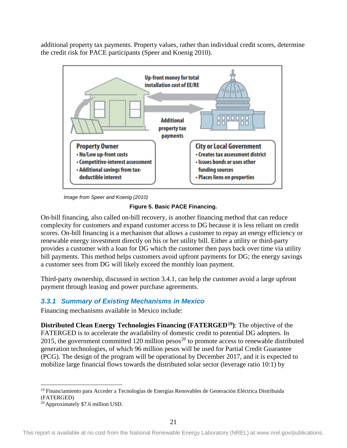additional property tax payments. Property values, rather than individual credit scores, determine the credit risk for PACE participants (Speer and Koenig 2010).



*Image from Speer and Koenig (2010)*

**Figure 5. Basic PACE Financing.** 

<span id="page-29-1"></span>On-bill financing, also called on-bill recovery, is another financing method that can reduce complexity for customers and expand customer access to DG because it is less reliant on credit scores. On-bill financing is a mechanism that allows a customer to repay an energy efficiency or renewable energy investment directly on his or her utility bill. Either a utility or third-party provides a customer with a loan for DG which the customer then pays back over time via utility bill payments. This method helps customers avoid upfront payments for DG; the energy savings a customer sees from DG will likely exceed the monthly loan payment.

Third-party ownership, discussed in section 3.4.1, can help the customer avoid a large upfront payment through leasing and power purchase agreements.

## <span id="page-29-0"></span>*3.3.1 Summary of Existing Mechanisms in Mexico*

Financing mechanisms available in Mexico include:

**Distributed Clean Energy Technologies Financing (FATERGED[19](#page-29-2))**: The objective of the FATERGED is to accelerate the availability of domestic credit to potential DG adopters. In [20](#page-29-3)15, the government committed 120 million pesos<sup>20</sup> to promote access to renewable distributed generation technologies, of which 96 million pesos will be used for Partial Credit Guarantee (PCG). The design of the program will be operational by December 2017, and it is expected to mobilize large financial flows towards the distributed solar sector (leverage ratio 10:1) by

<span id="page-29-2"></span> <sup>19</sup> Financiamiento para Acceder a Tecnologías de Energías Renovables de Generación Eléctrica Distribuida (FATERGED)

<span id="page-29-3"></span><sup>&</sup>lt;sup>20</sup> Approximately \$7.6 million USD.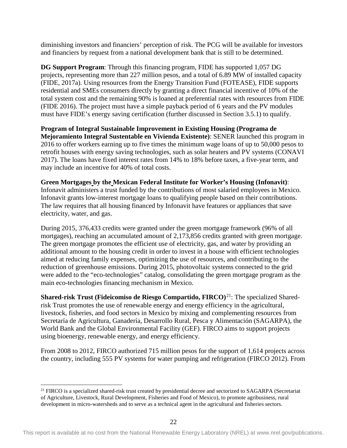diminishing investors and financiers' perception of risk. The PCG will be available for investors and financiers by request from a national development bank that is still to be determined.

**DG Support Program**: Through this financing program, FIDE has supported 1,057 DG projects, representing more than 227 million pesos, and a total of 6.89 MW of installed capacity (FIDE, 2017a). Using resources from the Energy Transition Fund (FOTEASE), FIDE supports residential and SMEs consumers directly by granting a direct financial incentive of 10% of the total system cost and the remaining 90% is loaned at preferential rates with resources from FIDE (FIDE 2016). The project must have a simple payback period of 6 years and the PV modules must have FIDE's energy saving certification (further discussed in Section 3.5.1) to qualify.

**Program of Integral Sustainable Improvement in Existing Housing (Programa de Mejoramiento Integral Sustentable en Vivienda Existente)**: SENER launched this program in 2016 to offer workers earning up to five times the minimum wage loans of up to 50,000 pesos to retrofit houses with energy saving technologies, such as solar heaters and PV systems (CONAVI 2017). The loans have fixed interest rates from 14% to 18% before taxes, a five-year term, and may include an incentive for 40% of total costs.

**Green Mortgages by the Mexican Federal Institute for Worker's Housing (Infonavit)**: Infonavit administers a trust funded by the contributions of most salaried employees in Mexico. Infonavit grants low-interest mortgage loans to qualifying people based on their contributions. The law requires that all housing financed by Infonavit have features or appliances that save electricity, water, and gas.

During 2015, 376,433 credits were granted under the green mortgage framework (96% of all mortgages), reaching an accumulated amount of 2,173,856 credits granted with green mortgage. The green mortgage promotes the efficient use of electricity, gas, and water by providing an additional amount to the housing credit in order to invest in a house with efficient technologies aimed at reducing family expenses, optimizing the use of resources, and contributing to the reduction of greenhouse emissions. During 2015, photovoltaic systems connected to the grid were added to the "eco-technologies" catalog, consolidating the green mortgage program as the main eco-technologies financing mechanism in Mexico.

**Shared-risk Trust (Fideicomiso de Riesgo Compartido, FIRCO)**[21:](#page-30-0) The specialized Sharedrisk Trust promotes the use of renewable energy and energy efficiency in the agricultural, livestock, fisheries, and food sectors in Mexico by mixing and complementing resources from Secretaría de Agricultura, Ganadería, Desarrollo Rural, Pesca y Alimentación (SAGARPA), the World Bank and the Global Environmental Facility (GEF). FIRCO aims to support projects using bioenergy, renewable energy, and energy efficiency.

From 2008 to 2012, FIRCO authorized 715 million pesos for the support of 1,614 projects across the country, including 555 PV systems for water pumping and refrigeration (FIRCO 2012). From

<span id="page-30-0"></span><sup>&</sup>lt;sup>21</sup> FIRCO is a specialized shared-risk trust created by presidential decree and sectorized to SAGARPA (Secretariat of Agriculture, Livestock, Rural Development, Fisheries and Food of Mexico), to promote agribusiness, rural development in micro-watersheds and to serve as a technical agent in the agricultural and fisheries sectors.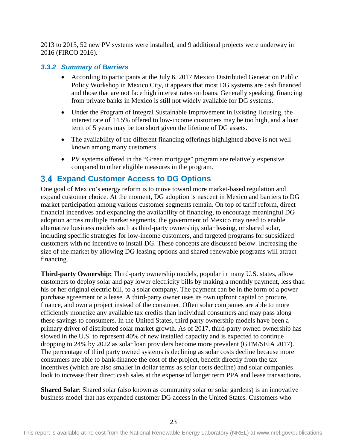2013 to 2015, 52 new PV systems were installed, and 9 additional projects were underway in 2016 (FIRCO 2016).

### <span id="page-31-0"></span>*3.3.2 Summary of Barriers*

- According to participants at the July 6, 2017 Mexico Distributed Generation Public Policy Workshop in Mexico City, it appears that most DG systems are cash financed and those that are not face high interest rates on loans. Generally speaking, financing from private banks in Mexico is still not widely available for DG systems.
- Under the Program of Integral Sustainable Improvement in Existing Housing, the interest rate of 14.5% offered to low-income customers may be too high, and a loan term of 5 years may be too short given the lifetime of DG assets.
- The availability of the different financing offerings highlighted above is not well known among many customers.
- PV systems offered in the "Green mortgage" program are relatively expensive compared to other eligible measures in the program.

## <span id="page-31-1"></span>**Expand Customer Access to DG Options**

One goal of Mexico's energy reform is to move toward more market-based regulation and expand customer choice. At the moment, DG adoption is nascent in Mexico and barriers to DG market participation among various customer segments remain. On top of tariff reform, direct financial incentives and expanding the availability of financing, to encourage meaningful DG adoption across multiple market segments, the government of Mexico may need to enable alternative business models such as third-party ownership, solar leasing, or shared solar, including specific strategies for low-income customers, and targeted programs for subsidized customers with no incentive to install DG. These concepts are discussed below. Increasing the size of the market by allowing DG leasing options and shared renewable programs will attract financing.

**Third-party Ownership:** Third-party ownership models, popular in many U.S. states, allow customers to deploy solar and pay lower electricity bills by making a monthly payment, less than his or her original electric bill, to a solar company. The payment can be in the form of a power purchase agreement or a lease. A third-party owner uses its own upfront capital to procure, finance, and own a project instead of the consumer. Often solar companies are able to more efficiently monetize any available tax credits than individual consumers and may pass along these savings to consumers. In the United States, third party ownership models have been a primary driver of distributed solar market growth. As of 2017, third-party owned ownership has slowed in the U.S. to represent 40% of new installed capacity and is expected to continue dropping to 24% by 2022 as solar loan providers become more prevalent (GTM/SEIA 2017). The percentage of third party owned systems is declining as solar costs decline because more consumers are able to bank-finance the cost of the project, benefit directly from the tax incentives (which are also smaller in dollar terms as solar costs decline) and solar companies look to increase their direct cash sales at the expense of longer term PPA and lease transactions.

**Shared Solar**: Shared solar (also known as community solar or solar gardens) is an innovative business model that has expanded customer DG access in the United States. Customers who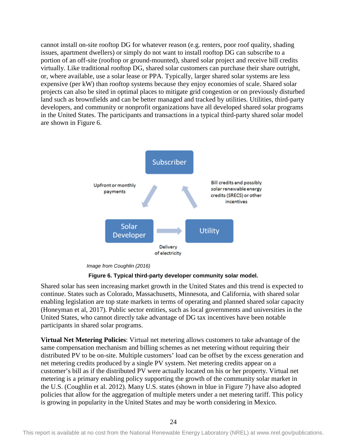cannot install on-site rooftop DG for whatever reason (e.g. renters, poor roof quality, shading issues, apartment dwellers) or simply do not want to install rooftop DG can subscribe to a portion of an off-site (rooftop or ground-mounted), shared solar project and receive bill credits virtually. Like traditional rooftop DG, shared solar customers can purchase their share outright, or, where available, use a solar lease or PPA. Typically, larger shared solar systems are less expensive (per kW) than rooftop systems because they enjoy economies of scale. Shared solar projects can also be sited in optimal places to mitigate grid congestion or on previously disturbed land such as brownfields and can be better managed and tracked by utilities. Utilities, third-party developers, and community or nonprofit organizations have all developed shared solar programs in the United States. The participants and transactions in a typical third-party shared solar model are shown in [Figure 6.](#page-32-0)



*Image from Coughlin (2016)*



<span id="page-32-0"></span>Shared solar has seen increasing market growth in the United States and this trend is expected to continue. States such as Colorado, Massachusetts, Minnesota, and California, with shared solar enabling legislation are top state markets in terms of operating and planned shared solar capacity (Honeyman et al, 2017). Public sector entities, such as local governments and universities in the United States, who cannot directly take advantage of DG tax incentives have been notable participants in shared solar programs.

**Virtual Net Metering Policies**: Virtual net metering allows customers to take advantage of the same compensation mechanism and billing schemes as net metering without requiring their distributed PV to be on-site. Multiple customers' load can be offset by the excess generation and net metering credits produced by a single PV system. Net metering credits appear on a customer's bill as if the distributed PV were actually located on his or her property. Virtual net metering is a primary enabling policy supporting the growth of the community solar market in the U.S. (Coughlin et al. 2012). Many U.S. states (shown in blue in [Figure 7\)](#page-33-1) have also adopted policies that allow for the aggregation of multiple meters under a net metering tariff. This policy is growing in popularity in the United States and may be worth considering in Mexico.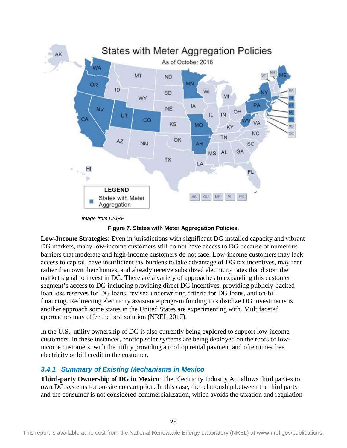

*Image from DSIRE*

**Figure 7. States with Meter Aggregation Policies.** 

<span id="page-33-1"></span>**Low-Income Strategies**: Even in jurisdictions with significant DG installed capacity and vibrant DG markets, many low-income customers still do not have access to DG because of numerous barriers that moderate and high-income customers do not face. Low-income customers may lack access to capital, have insufficient tax burdens to take advantage of DG tax incentives, may rent rather than own their homes, and already receive subsidized electricity rates that distort the market signal to invest in DG. There are a variety of approaches to expanding this customer segment's access to DG including providing direct DG incentives, providing publicly-backed loan loss reserves for DG loans, revised underwriting criteria for DG loans, and on-bill financing. Redirecting electricity assistance program funding to subsidize DG investments is another approach some states in the United States are experimenting with. Multifaceted approaches may offer the best solution (NREL 2017).

In the U.S., utility ownership of DG is also currently being explored to support low-income customers. In these instances, rooftop solar systems are being deployed on the roofs of lowincome customers, with the utility providing a rooftop rental payment and oftentimes free electricity or bill credit to the customer.

### <span id="page-33-0"></span>*3.4.1 Summary of Existing Mechanisms in Mexico*

**Third-party Ownership of DG in Mexico**: The Electricity Industry Act allows third parties to own DG systems for on-site consumption. In this case, the relationship between the third party and the consumer is not considered commercialization, which avoids the taxation and regulation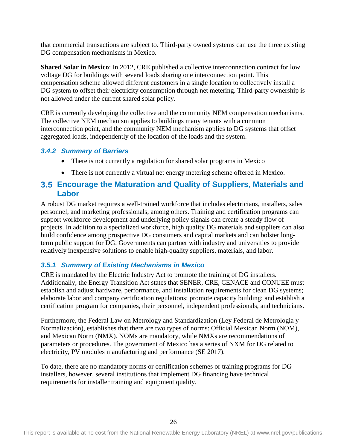that commercial transactions are subject to. Third-party owned systems can use the three existing DG compensation mechanisms in Mexico.

**Shared Solar in Mexico**: In 2012, CRE published a collective interconnection contract for low voltage DG for buildings with several loads sharing one interconnection point. This compensation scheme allowed different customers in a single location to collectively install a DG system to offset their electricity consumption through net metering. Third-party ownership is not allowed under the current shared solar policy.

CRE is currently developing the collective and the community NEM compensation mechanisms. The collective NEM mechanism applies to buildings many tenants with a common interconnection point, and the community NEM mechanism applies to DG systems that offset aggregated loads, independently of the location of the loads and the system.

### <span id="page-34-0"></span>*3.4.2 Summary of Barriers*

- There is not currently a regulation for shared solar programs in Mexico
- There is not currently a virtual net energy metering scheme offered in Mexico.

## <span id="page-34-1"></span>**Encourage the Maturation and Quality of Suppliers, Materials and Labor**

A robust DG market requires a well-trained workforce that includes electricians, installers, sales personnel, and marketing professionals, among others. Training and certification programs can support workforce development and underlying policy signals can create a steady flow of projects. In addition to a specialized workforce, high quality DG materials and suppliers can also build confidence among prospective DG consumers and capital markets and can bolster longterm public support for DG. Governments can partner with industry and universities to provide relatively inexpensive solutions to enable high-quality suppliers, materials, and labor.

## <span id="page-34-2"></span>*3.5.1 Summary of Existing Mechanisms in Mexico*

CRE is mandated by the Electric Industry Act to promote the training of DG installers. Additionally, the Energy Transition Act states that SENER, CRE, CENACE and CONUEE must establish and adjust hardware, performance, and installation requirements for clean DG systems; elaborate labor and company certification regulations; promote capacity building; and establish a certification program for companies, their personnel, independent professionals, and technicians.

Furthermore, the Federal Law on Metrology and Standardization (Ley Federal de Metrología y Normalización), establishes that there are two types of norms: Official Mexican Norm (NOM), and Mexican Norm (NMX). NOMs are mandatory, while NMXs are recommendations of parameters or procedures. The government of Mexico has a series of NXM for DG related to electricity, PV modules manufacturing and performance (SE 2017).

To date, there are no mandatory norms or certification schemes or training programs for DG installers, however, several institutions that implement DG financing have technical requirements for installer training and equipment quality.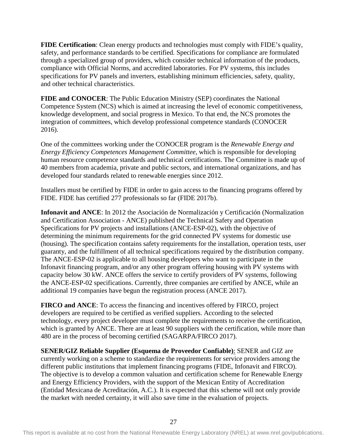**FIDE Certification**: Clean energy products and technologies must comply with FIDE's quality, safety, and performance standards to be certified. Specifications for compliance are formulated through a specialized group of providers, which consider technical information of the products, compliance with Official Norms, and accredited laboratories. For PV systems, this includes specifications for PV panels and inverters, establishing minimum efficiencies, safety, quality, and other technical characteristics.

**FIDE and CONOCER**: The Public Education Ministry (SEP) coordinates the National Competence System (NCS) which is aimed at increasing the level of economic competitiveness, knowledge development, and social progress in Mexico. To that end, the NCS promotes the integration of committees, which develop professional competence standards (CONOCER 2016).

One of the committees working under the CONOCER program is the *Renewable Energy and Energy Efficiency Competences Management Committee*, which is responsible for developing human resource competence standards and technical certifications. The Committee is made up of 40 members from academia, private and public sectors, and international organizations, and has developed four standards related to renewable energies since 2012.

Installers must be certified by FIDE in order to gain access to the financing programs offered by FIDE. FIDE has certified 277 professionals so far (FIDE 2017b).

**Infonavit and ANCE**: In 2012 the Asociación de Normalización y Certificación (Normalization and Certification Association - ANCE) published the Technical Safety and Operation Specifications for PV projects and installations (ANCE-ESP-02), with the objective of determining the minimum requirements for the grid connected PV systems for domestic use (housing). The specification contains safety requirements for the installation, operation tests, user guaranty, and the fulfillment of all technical specifications required by the distribution company. The ANCE-ESP-02 is applicable to all housing developers who want to participate in the Infonavit financing program, and/or any other program offering housing with PV systems with capacity below 30 kW. ANCE offers the service to certify providers of PV systems, following the ANCE-ESP-02 specifications. Currently, three companies are certified by ANCE, while an additional 19 companies have begun the registration process (ANCE 2017).

**FIRCO and ANCE**: To access the financing and incentives offered by FIRCO, project developers are required to be certified as verified suppliers. According to the selected technology, every project developer must complete the requirements to receive the certification, which is granted by ANCE. There are at least 90 suppliers with the certification, while more than 480 are in the process of becoming certified (SAGARPA/FIRCO 2017).

**SENER/GIZ Reliable Supplier (Esquema de Proveedor Confiable)**: SENER and GIZ are currently working on a scheme to standardize the requirements for service providers among the different public institutions that implement financing programs (FIDE, Infonavit and FIRCO). The objective is to develop a common valuation and certification scheme for Renewable Energy and Energy Efficiency Providers, with the support of the Mexican Entity of Accreditation (Entidad Mexicana de Acreditación, A.C.). It is expected that this scheme will not only provide the market with needed certainty, it will also save time in the evaluation of projects.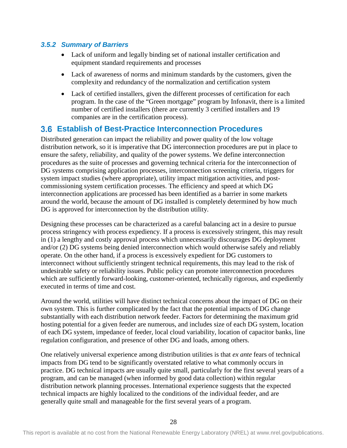### <span id="page-36-0"></span>*3.5.2 Summary of Barriers*

- Lack of uniform and legally binding set of national installer certification and equipment standard requirements and processes
- Lack of awareness of norms and minimum standards by the customers, given the complexity and redundancy of the normalization and certification system
- Lack of certified installers, given the different processes of certification for each program. In the case of the "Green mortgage" program by Infonavit, there is a limited number of certified installers (there are currently 3 certified installers and 19 companies are in the certification process).

## <span id="page-36-1"></span>**Establish of Best-Practice Interconnection Procedures**

Distributed generation can impact the reliability and power quality of the low voltage distribution network, so it is imperative that DG interconnection procedures are put in place to ensure the safety, reliability, and quality of the power systems. We define interconnection procedures as the suite of processes and governing technical criteria for the interconnection of DG systems comprising application processes, interconnection screening criteria, triggers for system impact studies (where appropriate), utility impact mitigation activities, and postcommissioning system certification processes. The efficiency and speed at which DG interconnection applications are processed has been identified as a barrier in some markets around the world, because the amount of DG installed is completely determined by how much DG is approved for interconnection by the distribution utility.

Designing these processes can be characterized as a careful balancing act in a desire to pursue process stringency with process expediency. If a process is excessively stringent, this may result in (1) a lengthy and costly approval process which unnecessarily discourages DG deployment and/or (2) DG systems being denied interconnection which would otherwise safely and reliably operate. On the other hand, if a process is excessively expedient for DG customers to interconnect without sufficiently stringent technical requirements, this may lead to the risk of undesirable safety or reliability issues. Public policy can promote interconnection procedures which are sufficiently forward-looking, customer-oriented, technically rigorous, and expediently executed in terms of time and cost.

Around the world, utilities will have distinct technical concerns about the impact of DG on their own system. This is further complicated by the fact that the potential impacts of DG change substantially with each distribution network feeder. Factors for determining the maximum grid hosting potential for a given feeder are numerous, and includes size of each DG system, location of each DG system, impedance of feeder, local cloud variability, location of capacitor banks, line regulation configuration, and presence of other DG and loads, among others.

One relatively universal experience among distribution utilities is that *ex ante* fears of technical impacts from DG tend to be significantly overstated relative to what commonly occurs in practice. DG technical impacts are usually quite small, particularly for the first several years of a program, and can be managed (when informed by good data collection) within regular distribution network planning processes. International experience suggests that the expected technical impacts are highly localized to the conditions of the individual feeder, and are generally quite small and manageable for the first several years of a program.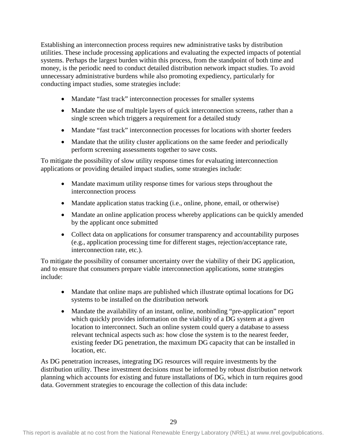Establishing an interconnection process requires new administrative tasks by distribution utilities. These include processing applications and evaluating the expected impacts of potential systems. Perhaps the largest burden within this process, from the standpoint of both time and money, is the periodic need to conduct detailed distribution network impact studies. To avoid unnecessary administrative burdens while also promoting expediency, particularly for conducting impact studies, some strategies include:

- Mandate "fast track" interconnection processes for smaller systems
- Mandate the use of multiple layers of quick interconnection screens, rather than a single screen which triggers a requirement for a detailed study
- Mandate "fast track" interconnection processes for locations with shorter feeders
- Mandate that the utility cluster applications on the same feeder and periodically perform screening assessments together to save costs.

To mitigate the possibility of slow utility response times for evaluating interconnection applications or providing detailed impact studies, some strategies include:

- Mandate maximum utility response times for various steps throughout the interconnection process
- Mandate application status tracking (i.e., online, phone, email, or otherwise)
- Mandate an online application process whereby applications can be quickly amended by the applicant once submitted
- Collect data on applications for consumer transparency and accountability purposes (e.g., application processing time for different stages, rejection/acceptance rate, interconnection rate, etc.).

To mitigate the possibility of consumer uncertainty over the viability of their DG application, and to ensure that consumers prepare viable interconnection applications, some strategies include:

- Mandate that online maps are published which illustrate optimal locations for DG systems to be installed on the distribution network
- Mandate the availability of an instant, online, nonbinding "pre-application" report which quickly provides information on the viability of a DG system at a given location to interconnect. Such an online system could query a database to assess relevant technical aspects such as: how close the system is to the nearest feeder, existing feeder DG penetration, the maximum DG capacity that can be installed in location, etc.

As DG penetration increases, integrating DG resources will require investments by the distribution utility. These investment decisions must be informed by robust distribution network planning which accounts for existing and future installations of DG, which in turn requires good data. Government strategies to encourage the collection of this data include: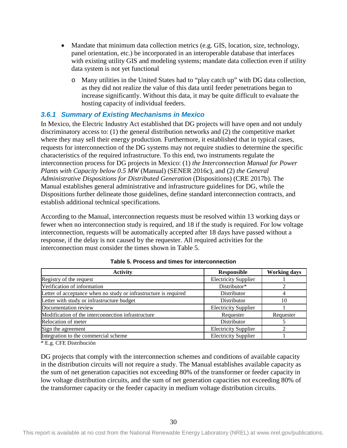- Mandate that minimum data collection metrics (e.g. GIS, location, size, technology, panel orientation, etc.) be incorporated in an interoperable database that interfaces with existing utility GIS and modeling systems; mandate data collection even if utility data system is not yet functional
	- o Many utilities in the United States had to "play catch up" with DG data collection, as they did not realize the value of this data until feeder penetrations began to increase significantly. Without this data, it may be quite difficult to evaluate the hosting capacity of individual feeders.

### <span id="page-38-0"></span>*3.6.1 Summary of Existing Mechanisms in Mexico*

In Mexico, the Electric Industry Act established that DG projects will have open and not unduly discriminatory access to: (1) the general distribution networks and (2) the competitive market where they may sell their energy production. Furthermore, it established that in typical cases, requests for interconnection of the DG systems may not require studies to determine the specific characteristics of the required infrastructure. To this end, two instruments regulate the interconnection process for DG projects in Mexico: (1) *the Interconnection Manual for Power Plants with Capacity below 0.5 MW* (Manual) (SENER 2016c), and (2) *the General Administrative Dispositions for Distributed Generation* (Dispositions) (CRE 2017b). The Manual establishes general administrative and infrastructure guidelines for DG, while the Dispositions further delineate those guidelines, define standard interconnection contracts, and establish additional technical specifications.

According to the Manual, interconnection requests must be resolved within 13 working days or fewer when no interconnection study is required, and 18 if the study is required. For low voltage interconnection, requests will be automatically accepted after 18 days have passed without a response, if the delay is not caused by the requester. All required activities for the interconnection must consider the times shown in [Table 5.](#page-38-1)

<span id="page-38-1"></span>

| <b>Activity</b>                                                  | <b>Responsible</b>          | <b>Working days</b> |
|------------------------------------------------------------------|-----------------------------|---------------------|
| Registry of the request                                          | <b>Electricity Supplier</b> |                     |
| Verification of information                                      | Distributor*                |                     |
| Letter of acceptance when no study or infrastructure is required | Distributor                 |                     |
| Letter with study or infrastructure budget                       | Distributor                 | 10                  |
| Documentation review                                             | <b>Electricity Supplier</b> |                     |
| Modification of the interconnection infrastructure               | Requester                   | Requester           |
| Relocation of meter                                              | Distributor                 |                     |
| Sign the agreement                                               | <b>Electricity Supplier</b> |                     |
| Integration to the commercial scheme                             | <b>Electricity Supplier</b> |                     |

**Table 5. Process and times for interconnection**

\* E.g. CFE Distribución

DG projects that comply with the interconnection schemes and conditions of available capacity in the distribution circuits will not require a study. The Manual establishes available capacity as the sum of net generation capacities not exceeding 80% of the transformer or feeder capacity in low voltage distribution circuits, and the sum of net generation capacities not exceeding 80% of the transformer capacity or the feeder capacity in medium voltage distribution circuits.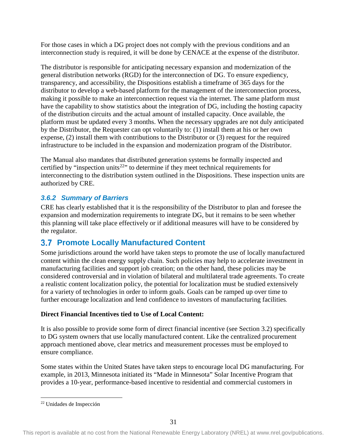For those cases in which a DG project does not comply with the previous conditions and an interconnection study is required, it will be done by CENACE at the expense of the distributor.

The distributor is responsible for anticipating necessary expansion and modernization of the general distribution networks (RGD) for the interconnection of DG. To ensure expediency, transparency, and accessibility, the Dispositions establish a timeframe of 365 days for the distributor to develop a web-based platform for the management of the interconnection process, making it possible to make an interconnection request via the internet. The same platform must have the capability to show statistics about the integration of DG, including the hosting capacity of the distribution circuits and the actual amount of installed capacity. Once available, the platform must be updated every 3 months. When the necessary upgrades are not duly anticipated by the Distributor, the Requester can opt voluntarily to: (1) install them at his or her own expense, (2) install them with contributions to the Distributor or (3) request for the required infrastructure to be included in the expansion and modernization program of the Distributor.

The Manual also mandates that distributed generation systems be formally inspected and certified by "inspection units<sup>22</sup>" to determine if they meet technical requirements for interconnecting to the distribution system outlined in the Dispositions. These inspection units are authorized by CRE.

## <span id="page-39-0"></span>*3.6.2 Summary of Barriers*

CRE has clearly established that it is the responsibility of the Distributor to plan and foresee the expansion and modernization requirements to integrate DG, but it remains to be seen whether this planning will take place effectively or if additional measures will have to be considered by the regulator.

## <span id="page-39-1"></span>**Promote Locally Manufactured Content**

Some jurisdictions around the world have taken steps to promote the use of locally manufactured content within the clean energy supply chain. Such policies may help to accelerate investment in manufacturing facilities and support job creation; on the other hand, these policies may be considered controversial and in violation of bilateral and multilateral trade agreements. To create a realistic content localization policy, the potential for localization must be studied extensively for a variety of technologies in order to inform goals. Goals can be ramped up over time to further encourage localization and lend confidence to investors of manufacturing facilities*.*

## **Direct Financial Incentives tied to Use of Local Content:**

It is also possible to provide some form of direct financial incentive (see Section 3.2) specifically to DG system owners that use locally manufactured content. Like the centralized procurement approach mentioned above, clear metrics and measurement processes must be employed to ensure compliance.

Some states within the United States have taken steps to encourage local DG manufacturing. For example, in 2013, Minnesota initiated its "Made in Minnesota" Solar Incentive Program that provides a 10-year, performance-based incentive to residential and commercial customers in

<span id="page-39-2"></span> <sup>22</sup> Unidades de Inspección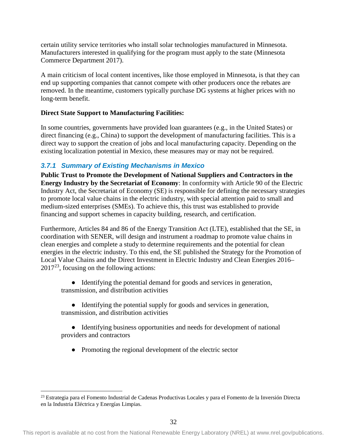certain utility service territories who install solar technologies manufactured in Minnesota. Manufacturers interested in qualifying for the program must apply to the state (Minnesota Commerce Department 2017).

A main criticism of local content incentives, like those employed in Minnesota, is that they can end up supporting companies that cannot compete with other producers once the rebates are removed. In the meantime, customers typically purchase DG systems at higher prices with no long-term benefit.

### **Direct State Support to Manufacturing Facilities:**

In some countries, governments have provided loan guarantees (e.g., in the United States) or direct financing (e.g., China) to support the development of manufacturing facilities. This is a direct way to support the creation of jobs and local manufacturing capacity. Depending on the existing localization potential in Mexico, these measures may or may not be required.

## <span id="page-40-0"></span>*3.7.1 Summary of Existing Mechanisms in Mexico*

**Public Trust to Promote the Development of National Suppliers and Contractors in the Energy Industry by the Secretariat of Economy**: In conformity with Article 90 of the Electric Industry Act, the Secretariat of Economy (SE) is responsible for defining the necessary strategies to promote local value chains in the electric industry, with special attention paid to small and medium-sized enterprises (SMEs). To achieve this, this trust was established to provide financing and support schemes in capacity building, research, and certification.

Furthermore, Articles 84 and 86 of the Energy Transition Act (LTE), established that the SE, in coordination with SENER, will design and instrument a roadmap to promote value chains in clean energies and complete a study to determine requirements and the potential for clean energies in the electric industry. To this end, the SE published the Strategy for the Promotion of Local Value Chains and the Direct Investment in Electric Industry and Clean Energies 2016–  $2017^{23}$ , focusing on the following actions:

- Identifying the potential demand for goods and services in generation, transmission, and distribution activities
- Identifying the potential supply for goods and services in generation, transmission, and distribution activities
- Identifying business opportunities and needs for development of national providers and contractors
	- Promoting the regional development of the electric sector

<span id="page-40-1"></span><sup>&</sup>lt;sup>23</sup> Estrategia para el Fomento Industrial de Cadenas Productivas Locales y para el Fomento de la Inversión Directa en la Industria Eléctrica y Energías Limpias.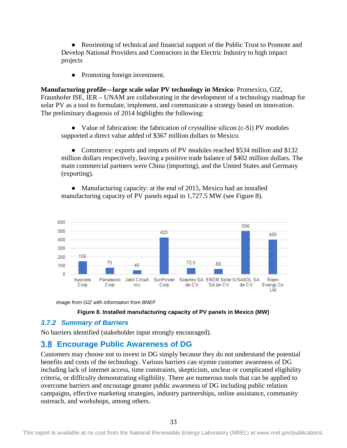● Reorienting of technical and financial support of the Public Trust to Promote and Develop National Providers and Contractors in the Electric Industry to high impact projects

• Promoting foreign investment.

**Manufacturing profile—large scale solar PV technology in Mexico**: Promexico, GIZ, Fraunhofer ISE, IER – UNAM are collaborating in the development of a technology roadmap for solar PV as a tool to formulate, implement, and communicate a strategy based on innovation. The preliminary diagnosis of 2014 highlights the following:

● Value of fabrication: the fabrication of crystalline silicon (c-Si) PV modules supported a direct value added of \$367 million dollars to Mexico.

• Commerce: exports and imports of PV modules reached \$534 million and \$132 million dollars respectively, leaving a positive trade balance of \$402 million dollars. The main commercial partners were China (importing), and the United States and Germany (exporting).

• Manufacturing capacity: at the end of 2015, Mexico had an installed manufacturing capacity of PV panels equal to 1,727.5 MW (see [Figure 8\)](#page-41-2).







### <span id="page-41-2"></span><span id="page-41-0"></span>*3.7.2 Summary of Barriers*

No barriers identified (stakeholder input strongly encouraged).

## <span id="page-41-1"></span>**Encourage Public Awareness of DG**

Customers may choose not to invest in DG simply because they do not understand the potential benefits and costs of the technology. Various barriers can stymie customer awareness of DG including lack of internet access, time constraints, skepticism, unclear or complicated eligibility criteria, or difficulty demonstrating eligibility. There are numerous tools that can be applied to overcome barriers and encourage greater public awareness of DG including public relation campaigns, effective marketing strategies, industry partnerships, online assistance, community outreach, and workshops, among others.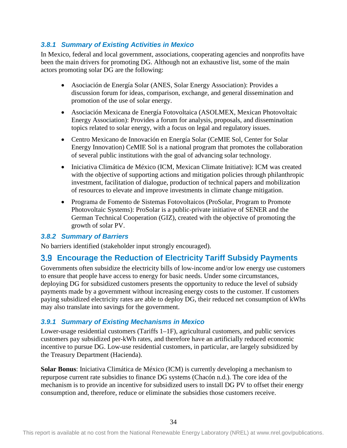### <span id="page-42-0"></span>*3.8.1 Summary of Existing Activities in Mexico*

In Mexico, federal and local government, associations, cooperating agencies and nonprofits have been the main drivers for promoting DG. Although not an exhaustive list, some of the main actors promoting solar DG are the following:

- Asociación de Energía Solar (ANES, Solar Energy Association): Provides a discussion forum for ideas, comparison, exchange, and general dissemination and promotion of the use of solar energy.
- Asociación Mexicana de Energía Fotovoltaica (ASOLMEX, Mexican Photovoltaic Energy Association): Provides a forum for analysis, proposals, and dissemination topics related to solar energy, with a focus on legal and regulatory issues.
- Centro Mexicano de Innovación en Energía Solar (CeMIE Sol, Center for Solar Energy Innovation) CeMIE Sol is a national program that promotes the collaboration of several public institutions with the goal of advancing solar technology.
- Iniciativa Climática de México (ICM, Mexican Climate Initiative): ICM was created with the objective of supporting actions and mitigation policies through philanthropic investment, facilitation of dialogue, production of technical papers and mobilization of resources to elevate and improve investments in climate change mitigation.
- Programa de Fomento de Sistemas Fotovoltaicos (ProSolar, Program to Promote Photovoltaic Systems): ProSolar is a public-private initiative of SENER and the German Technical Cooperation (GIZ), created with the objective of promoting the growth of solar PV.

### <span id="page-42-1"></span>*3.8.2 Summary of Barriers*

No barriers identified (stakeholder input strongly encouraged).

## <span id="page-42-2"></span>**Encourage the Reduction of Electricity Tariff Subsidy Payments**

Governments often subsidize the electricity bills of low-income and/or low energy use customers to ensure that people have access to energy for basic needs. Under some circumstances, deploying DG for subsidized customers presents the opportunity to reduce the level of subsidy payments made by a government without increasing energy costs to the customer. If customers paying subsidized electricity rates are able to deploy DG, their reduced net consumption of kWhs may also translate into savings for the government.

## <span id="page-42-3"></span>*3.9.1 Summary of Existing Mechanisms in Mexico*

Lower-usage residential customers (Tariffs 1–1F), agricultural customers, and public services customers pay subsidized per-kWh rates, and therefore have an artificially reduced economic incentive to pursue DG. Low-use residential customers, in particular, are largely subsidized by the Treasury Department (Hacienda).

**Solar Bonus**: Iniciativa Climática de México (ICM) is currently developing a mechanism to repurpose current rate subsidies to finance DG systems (Chacón n.d.). The core idea of the mechanism is to provide an incentive for subsidized users to install DG PV to offset their energy consumption and, therefore, reduce or eliminate the subsidies those customers receive.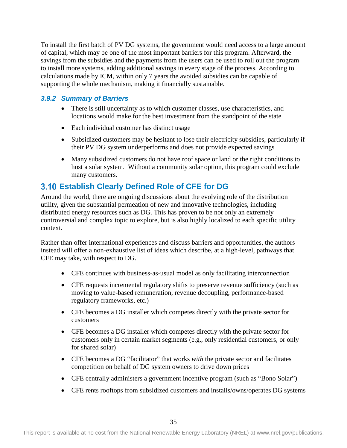To install the first batch of PV DG systems, the government would need access to a large amount of capital, which may be one of the most important barriers for this program. Afterward, the savings from the subsidies and the payments from the users can be used to roll out the program to install more systems, adding additional savings in every stage of the process. According to calculations made by ICM, within only 7 years the avoided subsidies can be capable of supporting the whole mechanism, making it financially sustainable.

### <span id="page-43-0"></span>*3.9.2 Summary of Barriers*

- There is still uncertainty as to which customer classes, use characteristics, and locations would make for the best investment from the standpoint of the state
- Each individual customer has distinct usage
- Subsidized customers may be hesitant to lose their electricity subsidies, particularly if their PV DG system underperforms and does not provide expected savings
- Many subsidized customers do not have roof space or land or the right conditions to host a solar system. Without a community solar option, this program could exclude many customers.

## <span id="page-43-1"></span>**Establish Clearly Defined Role of CFE for DG**

Around the world, there are ongoing discussions about the evolving role of the distribution utility, given the substantial permeation of new and innovative technologies, including distributed energy resources such as DG. This has proven to be not only an extremely controversial and complex topic to explore, but is also highly localized to each specific utility context.

Rather than offer international experiences and discuss barriers and opportunities, the authors instead will offer a non-exhaustive list of ideas which describe, at a high-level, pathways that CFE may take, with respect to DG.

- CFE continues with business-as-usual model as only facilitating interconnection
- CFE requests incremental regulatory shifts to preserve revenue sufficiency (such as moving to value-based remuneration, revenue decoupling, performance-based regulatory frameworks, etc.)
- CFE becomes a DG installer which competes directly with the private sector for customers
- CFE becomes a DG installer which competes directly with the private sector for customers only in certain market segments (e.g., only residential customers, or only for shared solar)
- CFE becomes a DG "facilitator" that works *with* the private sector and facilitates competition on behalf of DG system owners to drive down prices
- CFE centrally administers a government incentive program (such as "Bono Solar")
- CFE rents rooftops from subsidized customers and installs/owns/operates DG systems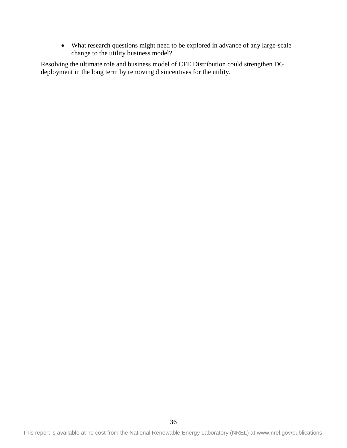• What research questions might need to be explored in advance of any large-scale change to the utility business model?

Resolving the ultimate role and business model of CFE Distribution could strengthen DG deployment in the long term by removing disincentives for the utility.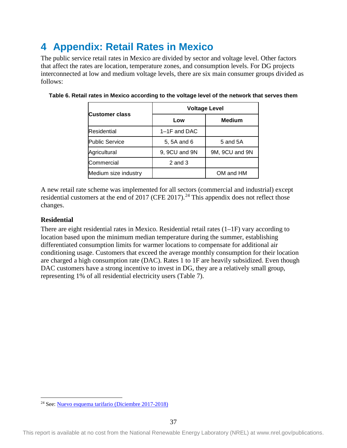# <span id="page-45-0"></span>**4 Appendix: Retail Rates in Mexico**

The public service retail rates in Mexico are divided by sector and voltage level. Other factors that affect the rates are location, temperature zones, and consumption levels. For DG projects interconnected at low and medium voltage levels, there are six main consumer groups divided as follows:

|                       | <b>Voltage Level</b> |                |  |
|-----------------------|----------------------|----------------|--|
| <b>Customer class</b> | Low                  | <b>Medium</b>  |  |
| <b>Residential</b>    | $1-1F$ and DAC       |                |  |
| <b>Public Service</b> | 5, 5A and 6          | 5 and 5A       |  |
| Agricultural          | 9, 9CU and 9N        | 9M, 9CU and 9N |  |
| Commercial            | $2$ and $3$          |                |  |
| Medium size industry  |                      | OM and HM      |  |

<span id="page-45-1"></span>**Table 6. Retail rates in Mexico according to the voltage level of the network that serves them**

A new retail rate scheme was implemented for all sectors (commercial and industrial) except residential customers at the end of 2017 (CFE 2017).<sup>[24](#page-45-2)</sup> This appendix does not reflect those changes.

### **Residential**

There are eight residential rates in Mexico. Residential retail rates  $(1-IF)$  vary according to location based upon the minimum median temperature during the summer, establishing differentiated consumption limits for warmer locations to compensate for additional air conditioning usage. Customers that exceed the average monthly consumption for their location are charged a high consumption rate (DAC). Rates 1 to 1F are heavily subsidized. Even though DAC customers have a strong incentive to invest in DG, they are a relatively small group, representing 1% of all residential electricity users [\(Table 7\)](#page-46-1).

 <sup>24</sup> See[: Nuevo esquema tarifario \(Diciembre 2017-2018\)](https://app.cfe.mx/Aplicaciones/CCFE/Tarifas/TarifasCREIndustria/Industria.aspx)

<span id="page-45-2"></span>This report is available at no cost from the National Renewable Energy Laboratory (NREL) at www.nrel.gov/publications.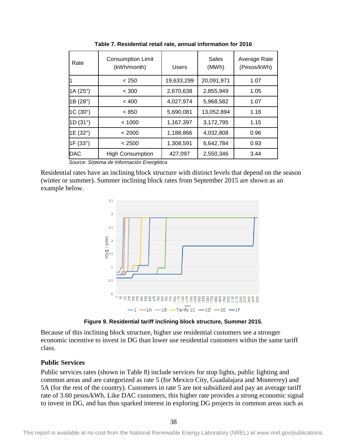<span id="page-46-1"></span>

| Rate              | <b>Consumption Limit</b><br>(kWh/month) | Users      | Sales<br>(MWh) | Average Rate<br>(Pesos/kWh) |
|-------------------|-----------------------------------------|------------|----------------|-----------------------------|
|                   | < 250                                   | 19,633,299 | 20,091,971     | 1.07                        |
| 1A $(25^{\circ})$ | < 300                                   | 2,670,638  | 2,855,949      | 1.05                        |
| 1B (28°)          | < 400                                   | 4,027,974  | 5,968,582      | 1.07                        |
| $1C(30^{\circ})$  | < 850                                   | 5,690,081  | 13,052,894     | 1.16                        |
| 1D (31°)          | < 1000                                  | 1,167,397  | 3,172,795      | 1.15                        |
| 1E (32°)          | < 2000                                  | 1,188,866  | 4,032,808      | 0.96                        |
| 1F (33°)          | < 2500                                  | 1,308,591  | 6,642,784      | 0.93                        |
| <b>DAC</b>        | <b>High Consumption</b>                 | 427,097    | 2,550,346      | 3.44                        |

**Table 7. Residential retail rate, annual information for 2016**

*Source: Sistema de Información Energética*

Residential rates have an inclining block structure with distinct levels that depend on the season (winter or summer). Summer inclining block rates from September 2015 are shown as an example below.



**Figure 9. Residential tariff inclining block structure, Summer 2015.**

<span id="page-46-0"></span>Because of this inclining block structure, higher use residential customers see a stronger economic incentive to invest in DG than lower use residential customers within the same tariff class.

#### **Public Services**

Public services rates (shown in [Table 8\)](#page-47-0) include services for stop lights, public lighting and common areas and are categorized as rate 5 (for Mexico City, Guadalajara and Monterrey) and 5A (for the rest of the country). Customers in rate 5 are not subsidized and pay an average tariff rate of 3.60 pesos/kWh. Like DAC customers, this higher rate provides a strong economic signal to invest in DG, and has thus sparked interest in exploring DG projects in common areas such as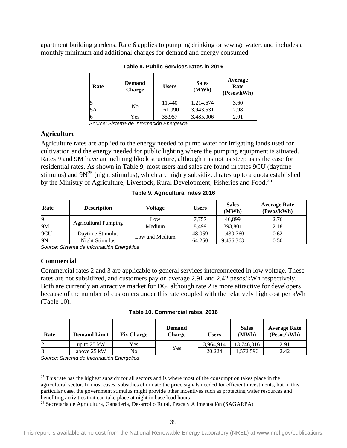<span id="page-47-0"></span>apartment building gardens. Rate 6 applies to pumping drinking or sewage water, and includes a monthly minimum and additional charges for demand and energy consumed.

| Rate | <b>Demand</b><br><b>Charge</b> | <b>Users</b> | <b>Sales</b><br>(MWh) | Average<br>Rate<br>(Pesos/kWh) |
|------|--------------------------------|--------------|-----------------------|--------------------------------|
| 15   | No                             | 11.440       | 1,214,674             | 3.60                           |
| 5Α   |                                | 161,990      | 3,943,531             | 2.98                           |
| 6    | Yes                            | 35,957       | 3,485,006             | 2.01                           |

**Table 8. Public Services rates in 2016**

*Source: Sistema de Información Energética*

#### **Agriculture**

Agriculture rates are applied to the energy needed to pump water for irrigating lands used for cultivation and the energy needed for public lighting where the pumping equipment is situated. Rates 9 and 9M have an inclining block structure, although it is not as steep as is the case for residential rates. As shown in [Table 9,](#page-47-1) most users and sales are found in rates 9CU (daytime stimulus) and  $9N^{25}$  $9N^{25}$  $9N^{25}$  (night stimulus), which are highly subsidized rates up to a quota established by the Ministry of Agriculture, Livestock, Rural Development, Fisheries and Food.<sup>[26](#page-47-4)</sup>

<span id="page-47-1"></span>

| Rate | <b>Description</b>          | Voltage        | <b>Users</b> | <b>Sales</b><br>(MWh) | <b>Average Rate</b><br>(Pesos/kWh) |
|------|-----------------------------|----------------|--------------|-----------------------|------------------------------------|
|      |                             | Low            | 7.757        | 46,899                | 2.76                               |
| 9M   | <b>Agricultural Pumping</b> | Medium         | 8.499        | 393.801               | 2.18                               |
| 9CU  | Daytime Stimulus            | Low and Medium | 48.059       | 1,430,760             | 0.62                               |
| 9N   | Night Stimulus              |                | 64,250       | 9,456,363             | 0.50                               |

**Table 9. Agricultural rates 2016**

*Source: Sistema de Información Energética*

### **Commercial**

Commercial rates 2 and 3 are applicable to general services interconnected in low voltage. These rates are not subsidized, and customers pay on average 2.91 and 2.42 pesos/kWh respectively. Both are currently an attractive market for DG, although rate 2 is more attractive for developers because of the number of customers under this rate coupled with the relatively high cost per kWh [\(Table 10\)](#page-47-2).

**Table 10. Commercial rates, 2016**

<span id="page-47-2"></span>

| Rate | <b>Demand Limit</b>   | <b>Fix Charge</b> | <b>Demand</b><br>Charge | <b>Users</b> | <b>Sales</b><br>(MWh) | <b>Average Rate</b><br>(Pesos/kWh) |
|------|-----------------------|-------------------|-------------------------|--------------|-----------------------|------------------------------------|
|      | up to $25 \text{ kW}$ | Yes               |                         | 3.964.914    | 13,746,316            | 2.91                               |
|      | above 25 kW           | No                | Yes                     | 20.224       | .572,596              | 2.42                               |

*Source: Sistema de Información Energética*

<span id="page-47-3"></span><sup>&</sup>lt;sup>25</sup> This rate has the highest subsidy for all sectors and is where most of the consumption takes place in the agricultural sector. In most cases, subsidies eliminate the price signals needed for efficient investments, but in this particular case, the government stimulus might provide other incentives such as protecting water resources and benefiting activities that can take place at night in base load hours.

<span id="page-47-4"></span><sup>26</sup> Secretaría de Agricultura, Ganadería, Desarrollo Rural, Pesca y Alimentación (SAGARPA)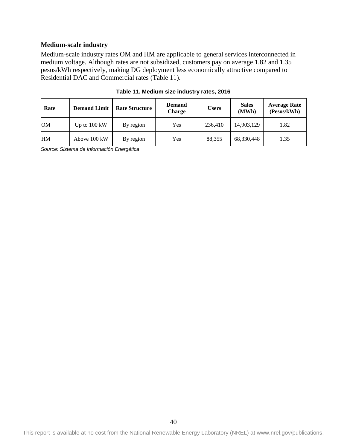### **Medium-scale industry**

Medium-scale industry rates OM and HM are applicable to general services interconnected in medium voltage. Although rates are not subsidized, customers pay on average 1.82 and 1.35 pesos/kWh respectively, making DG deployment less economically attractive compared to Residential DAC and Commercial rates [\(Table 11\)](#page-48-0).

<span id="page-48-0"></span>

| Rate      | <b>Demand Limit</b>    | <b>Rate Structure</b> | <b>Demand</b><br><b>Charge</b> | <b>Users</b> | <b>Sales</b><br>(MWh) | <b>Average Rate</b><br>(Pesos/kWh) |
|-----------|------------------------|-----------------------|--------------------------------|--------------|-----------------------|------------------------------------|
| <b>OM</b> | Up to $100 \text{ kW}$ | By region             | Yes                            | 236,410      | 14,903,129            | 1.82                               |
| <b>HM</b> | Above 100 kW           | By region             | Yes                            | 88.355       | 68,330,448            | 1.35                               |

**Table 11. Medium size industry rates, 2016**

*Source: Sistema de Información Energética*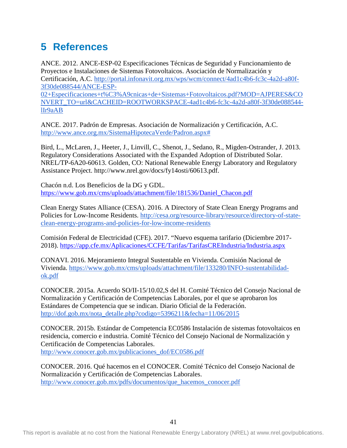# <span id="page-49-0"></span>**5 References**

ANCE. 2012. ANCE-ESP-02 Especificaciones Técnicas de Seguridad y Funcionamiento de Proyectos e Instalaciones de Sistemas Fotovoltaicos. Asociación de Normalización y Certificación, A.C. [http://portal.infonavit.org.mx/wps/wcm/connect/4ad1c4b6-fc3c-4a2d-a80f-](http://portal.infonavit.org.mx/wps/wcm/connect/4ad1c4b6-fc3c-4a2d-a80f-3f30de088544/ANCE-ESP-02+Especificaciones+t%C3%A9cnicas+de+Sistemas+Fotovoltaicos.pdf?MOD=AJPERES&CONVERT_TO=url&CACHEID=ROOTWORKSPACE-4ad1c4b6-fc3c-4a2d-a80f-3f30de088544-lIr9aAB)[3f30de088544/ANCE-ESP-](http://portal.infonavit.org.mx/wps/wcm/connect/4ad1c4b6-fc3c-4a2d-a80f-3f30de088544/ANCE-ESP-02+Especificaciones+t%C3%A9cnicas+de+Sistemas+Fotovoltaicos.pdf?MOD=AJPERES&CONVERT_TO=url&CACHEID=ROOTWORKSPACE-4ad1c4b6-fc3c-4a2d-a80f-3f30de088544-lIr9aAB)

[02+Especificaciones+t%C3%A9cnicas+de+Sistemas+Fotovoltaicos.pdf?MOD=AJPERES&CO](http://portal.infonavit.org.mx/wps/wcm/connect/4ad1c4b6-fc3c-4a2d-a80f-3f30de088544/ANCE-ESP-02+Especificaciones+t%C3%A9cnicas+de+Sistemas+Fotovoltaicos.pdf?MOD=AJPERES&CONVERT_TO=url&CACHEID=ROOTWORKSPACE-4ad1c4b6-fc3c-4a2d-a80f-3f30de088544-lIr9aAB) [NVERT\\_TO=url&CACHEID=ROOTWORKSPACE-4ad1c4b6-fc3c-4a2d-a80f-3f30de088544](http://portal.infonavit.org.mx/wps/wcm/connect/4ad1c4b6-fc3c-4a2d-a80f-3f30de088544/ANCE-ESP-02+Especificaciones+t%C3%A9cnicas+de+Sistemas+Fotovoltaicos.pdf?MOD=AJPERES&CONVERT_TO=url&CACHEID=ROOTWORKSPACE-4ad1c4b6-fc3c-4a2d-a80f-3f30de088544-lIr9aAB) [lIr9aAB](http://portal.infonavit.org.mx/wps/wcm/connect/4ad1c4b6-fc3c-4a2d-a80f-3f30de088544/ANCE-ESP-02+Especificaciones+t%C3%A9cnicas+de+Sistemas+Fotovoltaicos.pdf?MOD=AJPERES&CONVERT_TO=url&CACHEID=ROOTWORKSPACE-4ad1c4b6-fc3c-4a2d-a80f-3f30de088544-lIr9aAB)

ANCE. 2017. Padrón de Empresas. Asociación de Normalización y Certificación, A.C. [http://www.ance.org.mx/SistemaHipotecaVerde/Padron.aspx#](http://www.ance.org.mx/SistemaHipotecaVerde/Padron.aspx)

Bird, L., McLaren, J., Heeter, J., Linvill, C., Shenot, J., Sedano, R., Migden-Ostrander, J. 2013. Regulatory Considerations Associated with the Expanded Adoption of Distributed Solar. NREL/TP-6A20-60613. Golden, CO: National Renewable Energy Laboratory and Regulatory Assistance Project. http://www.nrel.gov/docs/fy14osti/60613.pdf.

Chacón n.d. Los Beneficios de la DG y GDL. [https://www.gob.mx/cms/uploads/attachment/file/181536/Daniel\\_Chacon.pdf](https://www.gob.mx/cms/uploads/attachment/file/181536/Daniel_Chacon.pdf)

Clean Energy States Alliance (CESA). 2016. A Directory of State Clean Energy Programs and Policies for Low-Income Residents. [http://cesa.org/resource-library/resource/directory-of-state](http://cesa.org/resource-library/resource/directory-of-state-clean-energy-programs-and-policies-for-low-income-residents)[clean-energy-programs-and-policies-for-low-income-residents](http://cesa.org/resource-library/resource/directory-of-state-clean-energy-programs-and-policies-for-low-income-residents)

Comisión Federal de Electricidad (CFE). 2017. "Nuevo esquema tarifario (Diciembre 2017- 2018).<https://app.cfe.mx/Aplicaciones/CCFE/Tarifas/TarifasCREIndustria/Industria.aspx>

CONAVI. 2016. Mejoramiento Integral Sustentable en Vivienda. Comisión Nacional de Vivienda. [https://www.gob.mx/cms/uploads/attachment/file/133280/INFO-sustentabilidad](https://www.gob.mx/cms/uploads/attachment/file/133280/INFO-sustentabilidad-ok.pdf)[ok.pdf](https://www.gob.mx/cms/uploads/attachment/file/133280/INFO-sustentabilidad-ok.pdf)

CONOCER. 2015a. Acuerdo SO/II-15/10.02,S del H. Comité Técnico del Consejo Nacional de Normalización y Certificación de Competencias Laborales, por el que se aprobaron los Estándares de Competencia que se indican. Diario Oficial de la Federación. [http://dof.gob.mx/nota\\_detalle.php?codigo=5396211&fecha=11/06/2015](http://dof.gob.mx/nota_detalle.php?codigo=5396211&fecha=11/06/2015)

CONOCER. 2015b. Estándar de Competencia EC0586 Instalación de sistemas fotovoltaicos en residencia, comercio e industria. Comité Técnico del Consejo Nacional de Normalización y Certificación de Competencias Laborales. [http://www.conocer.gob.mx/publicaciones\\_dof/EC0586.pdf](http://www.conocer.gob.mx/publicaciones_dof/EC0586.pdf)

CONOCER. 2016. Qué hacemos en el CONOCER. Comité Técnico del Consejo Nacional de Normalización y Certificación de Competencias Laborales. [http://www.conocer.gob.mx/pdfs/documentos/que\\_hacemos\\_conocer.pdf](http://www.conocer.gob.mx/pdfs/documentos/que_hacemos_conocer.pdf)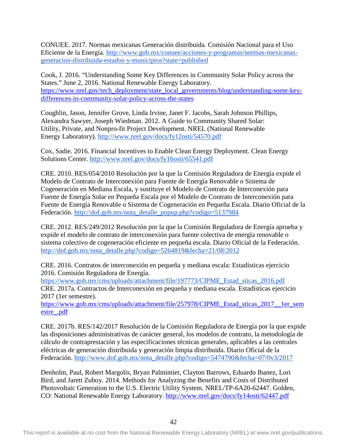CONUEE. 2017. Normas mexicanas Generación distribuida. Comisión Nacional para el Uso Eficiente de la Energía. [http://www.gob.mx/conuee/acciones-y-programas/normas-mexicanas](http://www.gob.mx/conuee/acciones-y-programas/normas-mexicanas-generacion-distribuida-estados-y-municipios?state=published)[generacion-distribuida-estados-y-municipios?state=published](http://www.gob.mx/conuee/acciones-y-programas/normas-mexicanas-generacion-distribuida-estados-y-municipios?state=published)

Cook, J. 2016. "Understanding Some Key Differences in Community Solar Policy across the States." June 2, 2016. National Renewable Energy Laboratory. [https://www.nrel.gov/tech\\_deployment/state\\_local\\_governments/blog/understanding-some-key](https://www.nrel.gov/tech_deployment/state_local_governments/blog/understanding-some-key-differences-in-community-solar-policy-across-the-states)[differences-in-community-solar-policy-across-the-states](https://www.nrel.gov/tech_deployment/state_local_governments/blog/understanding-some-key-differences-in-community-solar-policy-across-the-states)

[Coughlin, Jason, Jennifer Grove, Linda Irvine, Janet F. Jacobs, Sarah Johnson Phillips,](http://www.greentechmedia.com/research/report/us-community-solar-market-outlook-2015-2020)  [Alexandra Sawyer, Joseph Wiedman. 2012. A Guide to Community Shared Solar:](http://www.greentechmedia.com/research/report/us-community-solar-market-outlook-2015-2020)  [Utility, Private, and Nonpro-fit Project Development. NREL \(National Renewable](http://www.greentechmedia.com/research/report/us-community-solar-market-outlook-2015-2020)  [Energy Laboratory\).](http://www.greentechmedia.com/research/report/us-community-solar-market-outlook-2015-2020) <http://www.nrel.gov/docs/fy12osti/54570.pdf>

Cox, Sadie. 2016. Financial Incentives to Enable Clean Energy Deployment. Clean Energy Solutions Center.<http://www.nrel.gov/docs/fy16osti/65541.pdf>

CRE. 2010. RES/054/2010 Resolución por la que la Comisión Reguladora de Energía expide el Modelo de Contrato de Interconexión para Fuente de Energía Renovable o Sistema de Cogeneración en Mediana Escala, y sustituye el Modelo de Contrato de Interconexión para Fuente de Energía Solar en Pequeña Escala por el Modelo de Contrato de Interconexión para Fuente de Energía Renovable o Sistema de Cogeneración en Pequeña Escala. Diario Oficial de la Federación. [http://dof.gob.mx/nota\\_detalle\\_popup.php?codigo=5137984](http://dof.gob.mx/nota_detalle_popup.php?codigo=5137984)

CRE. 2012. RES/249/2012 Resolución por la que la Comisión Reguladora de Energía aprueba y expide el modelo de contrato de interconexión para fuente colectiva de energía renovable o sistema colectivo de cogeneración eficiente en pequeña escala. Diario Oficial de la Federación. [http://dof.gob.mx/nota\\_detalle.php?codigo=5264819&fecha=21/08/2012](http://dof.gob.mx/nota_detalle.php?codigo=5264819&fecha=21/08/2012)

CRE. 2016. Contratos de interconexión en pequeña y mediana escala: Estadísticas ejercicio 2016. Comisión Reguladora de Energía.

[https://www.gob.mx/cms/uploads/attachment/file/197773/CIPME\\_Estad\\_sticas\\_2016.pdf](https://www.gob.mx/cms/uploads/attachment/file/197773/CIPME_Estad_sticas_2016.pdf) CRE. 2017a. Contractos de Interconexión en pequeña y mediana escala. Estadísticas ejercicio 2017 (1er semestre).

[https://www.gob.mx/cms/uploads/attachment/file/257978/CIPME\\_Estad\\_sticas\\_2017\\_\\_1er\\_sem](https://www.gob.mx/cms/uploads/attachment/file/257978/CIPME_Estad_sticas_2017__1er_semestre_.pdf) [estre\\_.pdf](https://www.gob.mx/cms/uploads/attachment/file/257978/CIPME_Estad_sticas_2017__1er_semestre_.pdf)

CRE. 2017b. RES/142/2017 Resolución de la Comisión Reguladora de Energía por la que expide las disposiciones administrativas de carácter general, los modelos de contrato, la metodología de cálculo de contraprestación y las especificaciones técnicas generales, aplicables a las centrales eléctricas de generación distribuida y generación limpia distribuida. Diario Oficial de la Federación. [http://www.dof.gob.mx/nota\\_detalle.php?codigo=5474790&fecha=07/0v3/2017](http://www.dof.gob.mx/nota_detalle.php?codigo=5474790&fecha=07/03/2017)

Denholm, Paul, Robert Margolis, Bryan Palmintier, Clayton Barrows, Eduardo Ibanez, Lori Bird, and Jarett Zuboy. 2014. Methods for Analyzing the Benefits and Costs of Distributed Photovoltaic Generation to the U.S. Electric Utility System. NREL/TP-6A20-62447. Golden, CO: National Renewable Energy Laboratory.<http://www.nrel.gov/docs/fy14osti/62447.pdf>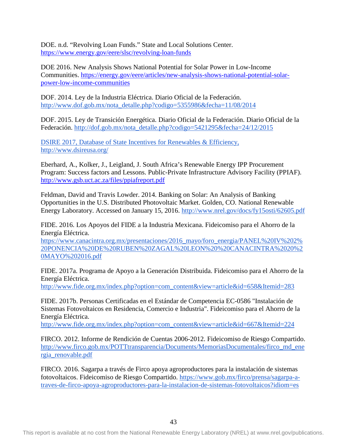DOE. n.d. "Revolving Loan Funds." State and Local Solutions Center. <https://www.energy.gov/eere/slsc/revolving-loan-funds>

DOE 2016. New Analysis Shows National Potential for Solar Power in Low-Income Communities. [https://energy.gov/eere/articles/new-analysis-shows-national-potential-solar](https://energy.gov/eere/articles/new-analysis-shows-national-potential-solar-power-low-income-communities)[power-low-income-communities](https://energy.gov/eere/articles/new-analysis-shows-national-potential-solar-power-low-income-communities)

DOF. 2014. Ley de la Industria Eléctrica. Diario Oficial de la Federación. [http://www.dof.gob.mx/nota\\_detalle.php?codigo=5355986&fecha=11/08/2014](http://www.dof.gob.mx/nota_detalle.php?codigo=5355986&fecha=11/08/2014)

DOF. 2015. Ley de Transición Energética. Diario Oficial de la Federación. Diario Oficial de la Federación. [http://dof.gob.mx/nota\\_detalle.php?codigo=5421295&fecha=24/12/2015](http://dof.gob.mx/nota_detalle.php?codigo=5421295&fecha=24/12/2015)

DSIRE 2017, Database of State Incentives for Renewables & Efficiency, http://www.dsireusa.org/

Eberhard, A., Kolker, J., Leigland, J. South Africa's Renewable Energy IPP Procurement Program: Success factors and Lessons. Public-Private Infrastructure Advisory Facility (PPIAF). <http://www.gsb.uct.ac.za/files/ppiafreport.pdf>

Feldman, David and Travis Lowder. 2014. Banking on Solar: An Analysis of Banking Opportunities in the U.S. Distributed Photovoltaic Market. Golden, CO. National Renewable Energy Laboratory. Accessed on January 15, 2016[.](http://www.nrel.gov/docs/fy15osti/62605.pdf) <http://www.nrel.gov/docs/fy15osti/62605.pdf>

FIDE. 2016. Los Apoyos del FIDE a la Industria Mexicana. Fideicomiso para el Ahorro de la Energía Eléctrica.

[https://www.canacintra.org.mx/presentaciones/2016\\_mayo/foro\\_energia/PANEL%20IV%202%](https://www.canacintra.org.mx/presentaciones/2016_mayo/foro_energia/PANEL%20IV%202%20PONENCIA%20DE%20RUBEN%20ZAGAL%20LEON%20%20CANACINTRA%2020%20MAYO%202016.pdf) [20PONENCIA%20DE%20RUBEN%20ZAGAL%20LEON%20%20CANACINTRA%2020%2](https://www.canacintra.org.mx/presentaciones/2016_mayo/foro_energia/PANEL%20IV%202%20PONENCIA%20DE%20RUBEN%20ZAGAL%20LEON%20%20CANACINTRA%2020%20MAYO%202016.pdf) [0MAYO%202016.pdf](https://www.canacintra.org.mx/presentaciones/2016_mayo/foro_energia/PANEL%20IV%202%20PONENCIA%20DE%20RUBEN%20ZAGAL%20LEON%20%20CANACINTRA%2020%20MAYO%202016.pdf) 

FIDE. 2017a. Programa de Apoyo a la Generación Distribuida. Fideicomiso para el Ahorro de la Energía Eléctrica.

[http://www.fide.org.mx/index.php?option=com\\_content&view=article&id=658&Itemid=283](http://www.fide.org.mx/index.php?option=com_content&view=article&id=658&Itemid=283)

FIDE. 2017b. Personas Certificadas en el Estándar de Competencia EC-0586 "Instalación de Sistemas Fotovoltaicos en Residencia, Comercio e Industria". Fideicomiso para el Ahorro de la Energía Eléctrica.

[http://www.fide.org.mx/index.php?option=com\\_content&view=article&id=667&Itemid=224](http://www.fide.org.mx/index.php?option=com_content&view=article&id=667&Itemid=224)

FIRCO. 2012. Informe de Rendición de Cuentas 2006-2012. Fideicomiso de Riesgo Compartido. [http://www.firco.gob.mx/POTTtransparencia/Documents/MemoriasDocumentales/firco\\_md\\_ene](http://www.firco.gob.mx/POTTtransparencia/Documents/MemoriasDocumentales/firco_md_energia_renovable.pdf) [rgia\\_renovable.pdf](http://www.firco.gob.mx/POTTtransparencia/Documents/MemoriasDocumentales/firco_md_energia_renovable.pdf)

FIRCO. 2016. Sagarpa a través de Firco apoya agroproductores para la instalación de sistemas fotovoltaicos. Fideicomiso de Riesgo Compartido. [https://www.gob.mx/firco/prensa/sagarpa-a](https://www.gob.mx/firco/prensa/sagarpa-a-traves-de-firco-apoya-agroproductores-para-la-instalacion-de-sistemas-fotovoltaicos?idiom=es)[traves-de-firco-apoya-agroproductores-para-la-instalacion-de-sistemas-fotovoltaicos?idiom=es](https://www.gob.mx/firco/prensa/sagarpa-a-traves-de-firco-apoya-agroproductores-para-la-instalacion-de-sistemas-fotovoltaicos?idiom=es)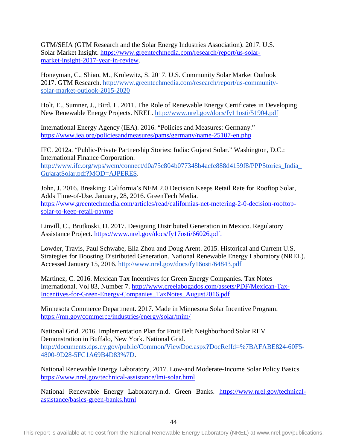GTM/SEIA (GTM Research and the Solar Energy Industries Association). 2017. U.S. Solar Market Insight. [https://www.greentechmedia.com/research/report/us-solar](https://www.greentechmedia.com/research/report/us-solar-market-insight-2017-year-in-review)[market-insight-2017-year-in-review.](https://www.greentechmedia.com/research/report/us-solar-market-insight-2017-year-in-review)

Honeyman, C., Shiao, M., Krulewitz, S. 2017. U.S. Community Solar Market Outlook 2017. GTM Research. [http://www.greentechmedia.com/research/report/us-community](http://www.greentechmedia.com/research/report/us-community-solar-market-outlook-2015-2020)[solar-market-outlook-2015-2020](http://www.greentechmedia.com/research/report/us-community-solar-market-outlook-2015-2020)

Holt, E., Sumner, J., Bird, L. 2011. The Role of Renewable Energy Certificates in Developing New Renewable Energy Projects. NREL.<http://www.nrel.gov/docs/fy11osti/51904.pdf>

International Energy Agency (IEA). 2016. "Policies and Measures: Germany." <https://www.iea.org/policiesandmeasures/pams/germany/name-25107-en.php>

IFC. 2012a. "Public-Private Partnership Stories: India: Gujarat Solar." Washington, D.C.: International Finance Corporation[.](http://www.ifc.org/wps/wcm/connect/d0a75c804b077348b4acfe888d4159f8/PPPStories_India_GujaratSolar.pdf?MOD=AJPERES) http://www.ifc.org/wps/wcm/connect/d0a75c804b077348b4acfe888d4159f8/PPPStories\_India [GujaratSolar.pdf?MOD=AJPERES.](http://www.ifc.org/wps/wcm/connect/d0a75c804b077348b4acfe888d4159f8/PPPStories_India_GujaratSolar.pdf?MOD=AJPERES)

John, J. 2016. Breaking: California's NEM 2.0 Decision Keeps Retail Rate for Rooftop Solar, Adds Time-of-Use. January, 28, 2016. GreenTech Media. [https://www.greentechmedia.com/articles/read/californias-net-metering-2-0-decision-rooftop](https://www.greentechmedia.com/articles/read/californias-net-metering-2-0-decision-rooftop-solar-to-keep-retail-payme)[solar-to-keep-retail-payme](https://www.greentechmedia.com/articles/read/californias-net-metering-2-0-decision-rooftop-solar-to-keep-retail-payme)

Linvill, C., Brutkoski, D. 2017. Designing Distributed Generation in Mexico. Regulatory Assistance Project. [https://www.nrel.gov/docs/fy17osti/66026.pdf.](https://www.nrel.gov/docs/fy17osti/66026.pdf)

Lowder, Travis, Paul Schwabe, Ella Zhou and Doug Arent. 2015. Historical and Current U.S. Strategies for Boosting Distributed Generation. National Renewable Energy Laboratory (NREL). Accessed January 15, 2016[.](http://www.nrel.gov/docs/fy16osti/64843.pdf) <http://www.nrel.gov/docs/fy16osti/64843.pdf>

Martinez, C. 2016. Mexican Tax Incentives for Green Energy Companies. Tax Notes International. Vol 83, Number 7. [http://www.creelabogados.com/assets/PDF/Mexican-Tax-](http://www.creelabogados.com/assets/PDF/Mexican-Tax-Incentives-for-Green-Energy-Companies_TaxNotes_August2016.pdf)[Incentives-for-Green-Energy-Companies\\_TaxNotes\\_August2016.pdf](http://www.creelabogados.com/assets/PDF/Mexican-Tax-Incentives-for-Green-Energy-Companies_TaxNotes_August2016.pdf)

Minnesota Commerce Department. 2017. Made in Minnesota Solar Incentive Program. <https://mn.gov/commerce/industries/energy/solar/mim/>

National Grid. 2016. Implementation Plan for Fruit Belt Neighborhood Solar REV Demonstration in Buffalo, New York. National Grid[.](http://documents.dps.ny.gov/public/Common/ViewDoc.aspx?DocRefId=%7BAFABE824-60F5-4800-9D28-5FC1A69B4D83%7D) [http://documents.dps.ny.gov/public/Common/ViewDoc.aspx?DocRefId=%7BAFABE824-60F5-](http://documents.dps.ny.gov/public/Common/ViewDoc.aspx?DocRefId=%7BAFABE824-60F5-4800-9D28-5FC1A69B4D83%7D) [4800-9D28-5FC1A69B4D83%7D.](http://documents.dps.ny.gov/public/Common/ViewDoc.aspx?DocRefId=%7BAFABE824-60F5-4800-9D28-5FC1A69B4D83%7D)

National Renewable Energy Laboratory, 2017. Low-and Moderate-Income Solar Policy Basics. <https://www.nrel.gov/technical-assistance/lmi-solar.html>

National Renewable Energy Laboratory.n.d. Green Banks. [https://www.nrel.gov/technical](https://www.nrel.gov/technical-assistance/basics-green-banks.html)[assistance/basics-green-banks.html](https://www.nrel.gov/technical-assistance/basics-green-banks.html)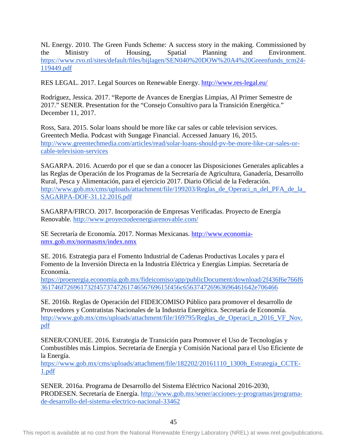NL Energy. 2010. The Green Funds Scheme: A success story in the making. Commissioned by the Ministry of Housing, Spatial Planning and Environment. [https://www.rvo.nl/sites/default/files/bijlagen/SEN040%20DOW%20A4%20Greenfunds\\_tcm24-](https://www.rvo.nl/sites/default/files/bijlagen/SEN040%20DOW%20A4%20Greenfunds_tcm24-119449.pdf) [119449.pdf](https://www.rvo.nl/sites/default/files/bijlagen/SEN040%20DOW%20A4%20Greenfunds_tcm24-119449.pdf)

RES LEGAL. 2017. Legal Sources on Renewable Energy.<http://www.res-legal.eu/>

Rodríguez, Jessica. 2017. "Reporte de Avances de Energías Limpias, Al Primer Semestre de 2017." SENER. Presentation for the "Consejo Consultivo para la Transición Energética." December 11, 2017.

Ross, Sara. 2015. Solar loans should be more like car sales or cable television services. Greentech Media. Podcast with Sungage Financial. Accessed January 16, 2015[.](http://www.greentechmedia.com/articles/read/solar-loans-should-pv-be-more-like-car-sales-or-cable-television-services) [http://www.greentechmedia.com/articles/read/solar-loans-should-pv-be-more-like-car-sales-or](http://www.greentechmedia.com/articles/read/solar-loans-should-pv-be-more-like-car-sales-or-cable-television-services)[cable-television-services](http://www.greentechmedia.com/articles/read/solar-loans-should-pv-be-more-like-car-sales-or-cable-television-services)

SAGARPA. 2016. Acuerdo por el que se dan a conocer las Disposiciones Generales aplicables a las Reglas de Operación de los Programas de la Secretaría de Agricultura, Ganadería, Desarrollo Rural, Pesca y Alimentación, para el ejercicio 2017. Diario Oficial de la Federación. http://www.gob.mx/cms/uploads/attachment/file/199203/Reglas de Operaci n del PFA de la [SAGARPA-DOF-31.12.2016.pdf](http://www.gob.mx/cms/uploads/attachment/file/199203/Reglas_de_Operaci_n_del_PFA_de_la_SAGARPA-DOF-31.12.2016.pdf)

SAGARPA/FIRCO. 2017. Incorporación de Empresas Verificadas. Proyecto de Energía Renovable.<http://www.proyectodeenergiarenovable.com/>

SE Secretaría de Economía. 2017. Normas Mexicanas. [http://www.economia](http://www.economia-nmx.gob.mx/normasmx/index.nmx)[nmx.gob.mx/normasmx/index.nmx](http://www.economia-nmx.gob.mx/normasmx/index.nmx)

SE. 2016. Estrategia para el Fomento Industrial de Cadenas Productivas Locales y para el Fomento de la Inversión Directa en la Industria Eléctrica y Energías Limpias. Secretaría de Economía.

[https://proenergia.economia.gob.mx/fideicomiso/app/publicDocument/download/2f436f6e766f6](https://proenergia.economia.gob.mx/fideicomiso/app/publicDocument/download/2f436f6e766f6361746f726961732f457374726174656769615f456c656374726963696461642e706466) [361746f726961732f457374726174656769615f456c656374726963696461642e706466](https://proenergia.economia.gob.mx/fideicomiso/app/publicDocument/download/2f436f6e766f6361746f726961732f457374726174656769615f456c656374726963696461642e706466)

SE. 2016b. Reglas de Operación del FIDEICOMISO Público para promover el desarrollo de Proveedores y Contratistas Nacionales de la Industria Energética. Secretaría de Economía. http://www.gob.mx/cms/uploads/attachment/file/169795/Reglas de Operaci\_n\_2016\_VF\_Nov. [pdf](http://www.gob.mx/cms/uploads/attachment/file/169795/Reglas_de_Operaci_n_2016_VF_Nov.pdf)

SENER/CONUEE. 2016. Estrategia de Transición para Promover el Uso de Tecnologías y Combustibles más Limpios. Secretaría de Energía y Comisión Nacional para el Uso Eficiente de la Energía.

[https://www.gob.mx/cms/uploads/attachment/file/182202/20161110\\_1300h\\_Estrategia\\_CCTE-](https://www.gob.mx/cms/uploads/attachment/file/182202/20161110_1300h_Estrategia_CCTE-1.pdf)[1.pdf](https://www.gob.mx/cms/uploads/attachment/file/182202/20161110_1300h_Estrategia_CCTE-1.pdf)

SENER. 2016a. Programa de Desarrollo del Sistema Eléctrico Nacional 2016-2030, PRODESEN. Secretaría de Energía. [http://www.gob.mx/sener/acciones-y-programas/programa](http://www.gob.mx/sener/acciones-y-programas/programa-de-desarrollo-del-sistema-electrico-nacional-33462)[de-desarrollo-del-sistema-electrico-nacional-33462](http://www.gob.mx/sener/acciones-y-programas/programa-de-desarrollo-del-sistema-electrico-nacional-33462)